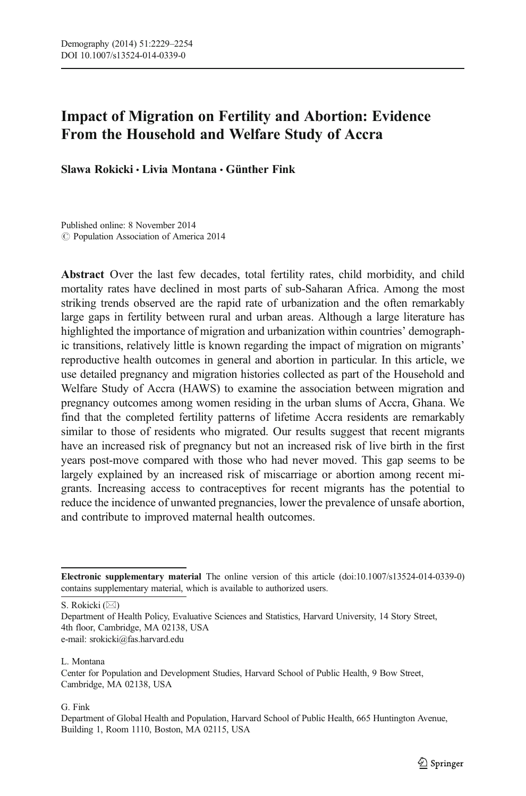# Impact of Migration on Fertility and Abortion: Evidence From the Household and Welfare Study of Accra

Slawa Rokicki • Livia Montana • Günther Fink

Published online: 8 November 2014 C Population Association of America 2014

Abstract Over the last few decades, total fertility rates, child morbidity, and child mortality rates have declined in most parts of sub-Saharan Africa. Among the most striking trends observed are the rapid rate of urbanization and the often remarkably large gaps in fertility between rural and urban areas. Although a large literature has highlighted the importance of migration and urbanization within countries' demographic transitions, relatively little is known regarding the impact of migration on migrants' reproductive health outcomes in general and abortion in particular. In this article, we use detailed pregnancy and migration histories collected as part of the Household and Welfare Study of Accra (HAWS) to examine the association between migration and pregnancy outcomes among women residing in the urban slums of Accra, Ghana. We find that the completed fertility patterns of lifetime Accra residents are remarkably similar to those of residents who migrated. Our results suggest that recent migrants have an increased risk of pregnancy but not an increased risk of live birth in the first years post-move compared with those who had never moved. This gap seems to be largely explained by an increased risk of miscarriage or abortion among recent migrants. Increasing access to contraceptives for recent migrants has the potential to reduce the incidence of unwanted pregnancies, lower the prevalence of unsafe abortion, and contribute to improved maternal health outcomes.

S. Rokicki  $(\boxtimes)$ 

Department of Health Policy, Evaluative Sciences and Statistics, Harvard University, 14 Story Street, 4th floor, Cambridge, MA 02138, USA e-mail: srokicki@fas.harvard.edu

L. Montana

#### G. Fink

Electronic supplementary material The online version of this article (doi:[10.1007/s13524-014-0339-0\)](http://dx.doi.org/10.1007/s13524-014-0339-0) contains supplementary material, which is available to authorized users.

Center for Population and Development Studies, Harvard School of Public Health, 9 Bow Street, Cambridge, MA 02138, USA

Department of Global Health and Population, Harvard School of Public Health, 665 Huntington Avenue, Building 1, Room 1110, Boston, MA 02115, USA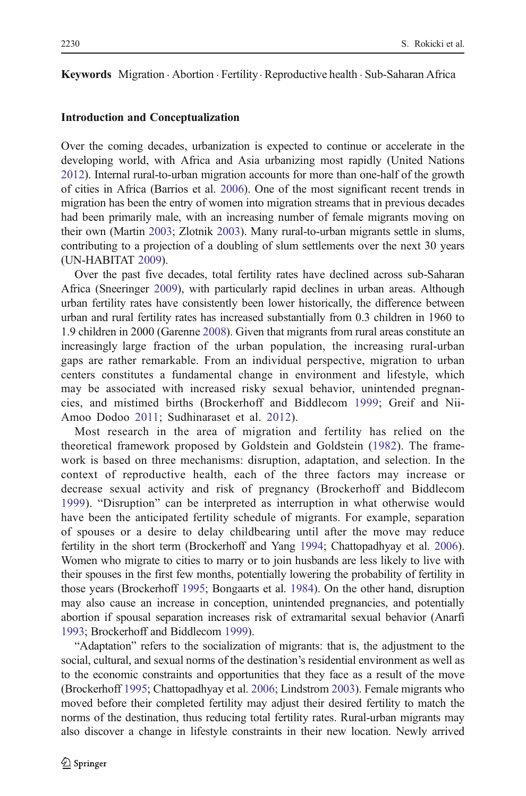Keywords Migration . Abortion . Fertility. Reproductive health . Sub-Saharan Africa

### Introduction and Conceptualization

Over the coming decades, urbanization is expected to continue or accelerate in the developing world, with Africa and Asia urbanizing most rapidly (United Nations [2012\)](#page-25-0). Internal rural-to-urban migration accounts for more than one-half of the growth of cities in Africa (Barrios et al. [2006\)](#page-24-0). One of the most significant recent trends in migration has been the entry of women into migration streams that in previous decades had been primarily male, with an increasing number of female migrants moving on their own (Martin [2003;](#page-24-0) Zlotnik [2003\)](#page-25-0). Many rural-to-urban migrants settle in slums, contributing to a projection of a doubling of slum settlements over the next 30 years (UN-HABITAT [2009\)](#page-25-0).

Over the past five decades, total fertility rates have declined across sub-Saharan Africa (Sneeringer [2009](#page-25-0)), with particularly rapid declines in urban areas. Although urban fertility rates have consistently been lower historically, the difference between urban and rural fertility rates has increased substantially from 0.3 children in 1960 to 1.9 children in 2000 (Garenne [2008](#page-24-0)). Given that migrants from rural areas constitute an increasingly large fraction of the urban population, the increasing rural-urban gaps are rather remarkable. From an individual perspective, migration to urban centers constitutes a fundamental change in environment and lifestyle, which may be associated with increased risky sexual behavior, unintended pregnancies, and mistimed births (Brockerhoff and Biddlecom [1999](#page-24-0); Greif and Nii-Amoo Dodoo [2011;](#page-24-0) Sudhinaraset et al. [2012](#page-25-0)).

Most research in the area of migration and fertility has relied on the theoretical framework proposed by Goldstein and Goldstein [\(1982\)](#page-24-0). The framework is based on three mechanisms: disruption, adaptation, and selection. In the context of reproductive health, each of the three factors may increase or decrease sexual activity and risk of pregnancy (Brockerhoff and Biddlecom [1999](#page-24-0)). "Disruption" can be interpreted as interruption in what otherwise would have been the anticipated fertility schedule of migrants. For example, separation of spouses or a desire to delay childbearing until after the move may reduce fertility in the short term (Brockerhoff and Yang [1994](#page-24-0); Chattopadhyay et al. [2006\)](#page-24-0). Women who migrate to cities to marry or to join husbands are less likely to live with their spouses in the first few months, potentially lowering the probability of fertility in those years (Brockerhoff [1995](#page-24-0); Bongaarts et al. [1984](#page-24-0)). On the other hand, disruption may also cause an increase in conception, unintended pregnancies, and potentially abortion if spousal separation increases risk of extramarital sexual behavior (Anarfi [1993;](#page-24-0) Brockerhoff and Biddlecom [1999](#page-24-0)).

"Adaptation" refers to the socialization of migrants: that is, the adjustment to the social, cultural, and sexual norms of the destination's residential environment as well as to the economic constraints and opportunities that they face as a result of the move (Brockerhoff [1995](#page-24-0); Chattopadhyay et al. [2006;](#page-24-0) Lindstrom [2003\)](#page-24-0). Female migrants who moved before their completed fertility may adjust their desired fertility to match the norms of the destination, thus reducing total fertility rates. Rural-urban migrants may also discover a change in lifestyle constraints in their new location. Newly arrived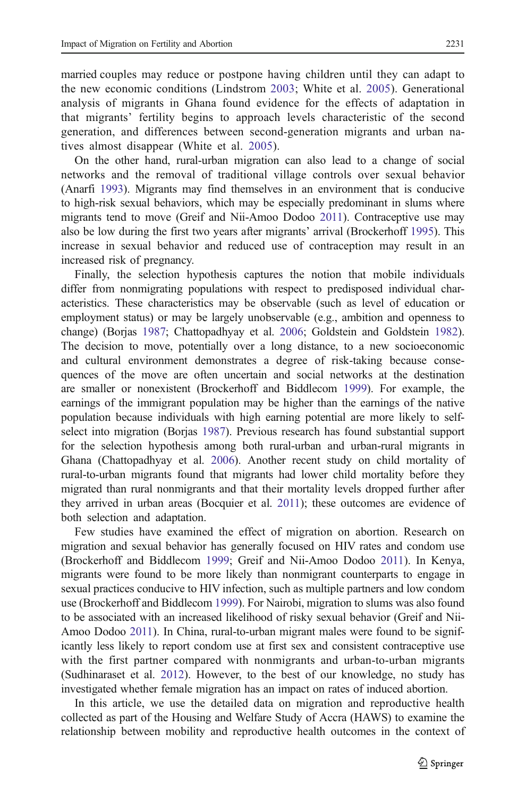married couples may reduce or postpone having children until they can adapt to the new economic conditions (Lindstrom [2003;](#page-24-0) White et al. [2005\)](#page-25-0). Generational analysis of migrants in Ghana found evidence for the effects of adaptation in that migrants' fertility begins to approach levels characteristic of the second generation, and differences between second-generation migrants and urban natives almost disappear (White et al. [2005](#page-25-0)).

On the other hand, rural-urban migration can also lead to a change of social networks and the removal of traditional village controls over sexual behavior (Anarfi [1993](#page-24-0)). Migrants may find themselves in an environment that is conducive to high-risk sexual behaviors, which may be especially predominant in slums where migrants tend to move (Greif and Nii-Amoo Dodoo [2011\)](#page-24-0). Contraceptive use may also be low during the first two years after migrants' arrival (Brockerhoff [1995\)](#page-24-0). This increase in sexual behavior and reduced use of contraception may result in an increased risk of pregnancy.

Finally, the selection hypothesis captures the notion that mobile individuals differ from nonmigrating populations with respect to predisposed individual characteristics. These characteristics may be observable (such as level of education or employment status) or may be largely unobservable (e.g., ambition and openness to change) (Borjas [1987](#page-24-0); Chattopadhyay et al. [2006](#page-24-0); Goldstein and Goldstein [1982\)](#page-24-0). The decision to move, potentially over a long distance, to a new socioeconomic and cultural environment demonstrates a degree of risk-taking because consequences of the move are often uncertain and social networks at the destination are smaller or nonexistent (Brockerhoff and Biddlecom [1999\)](#page-24-0). For example, the earnings of the immigrant population may be higher than the earnings of the native population because individuals with high earning potential are more likely to selfselect into migration (Borjas [1987](#page-24-0)). Previous research has found substantial support for the selection hypothesis among both rural-urban and urban-rural migrants in Ghana (Chattopadhyay et al. [2006\)](#page-24-0). Another recent study on child mortality of rural-to-urban migrants found that migrants had lower child mortality before they migrated than rural nonmigrants and that their mortality levels dropped further after they arrived in urban areas (Bocquier et al. [2011\)](#page-24-0); these outcomes are evidence of both selection and adaptation.

Few studies have examined the effect of migration on abortion. Research on migration and sexual behavior has generally focused on HIV rates and condom use (Brockerhoff and Biddlecom [1999;](#page-24-0) Greif and Nii-Amoo Dodoo [2011\)](#page-24-0). In Kenya, migrants were found to be more likely than nonmigrant counterparts to engage in sexual practices conducive to HIV infection, such as multiple partners and low condom use (Brockerhoff and Biddlecom [1999](#page-24-0)). For Nairobi, migration to slums was also found to be associated with an increased likelihood of risky sexual behavior (Greif and Nii-Amoo Dodoo [2011\)](#page-24-0). In China, rural-to-urban migrant males were found to be significantly less likely to report condom use at first sex and consistent contraceptive use with the first partner compared with nonmigrants and urban-to-urban migrants (Sudhinaraset et al. [2012\)](#page-25-0). However, to the best of our knowledge, no study has investigated whether female migration has an impact on rates of induced abortion.

In this article, we use the detailed data on migration and reproductive health collected as part of the Housing and Welfare Study of Accra (HAWS) to examine the relationship between mobility and reproductive health outcomes in the context of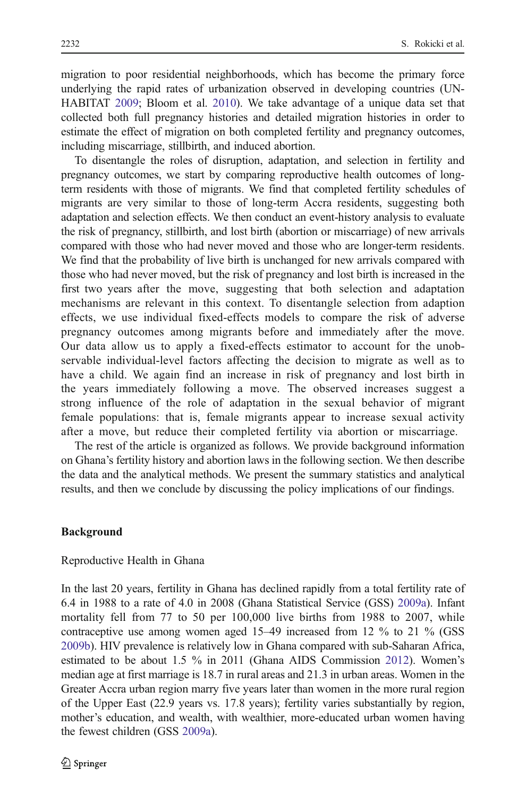migration to poor residential neighborhoods, which has become the primary force underlying the rapid rates of urbanization observed in developing countries (UN-HABITAT [2009;](#page-25-0) Bloom et al. [2010](#page-24-0)). We take advantage of a unique data set that collected both full pregnancy histories and detailed migration histories in order to estimate the effect of migration on both completed fertility and pregnancy outcomes, including miscarriage, stillbirth, and induced abortion.

To disentangle the roles of disruption, adaptation, and selection in fertility and pregnancy outcomes, we start by comparing reproductive health outcomes of longterm residents with those of migrants. We find that completed fertility schedules of migrants are very similar to those of long-term Accra residents, suggesting both adaptation and selection effects. We then conduct an event-history analysis to evaluate the risk of pregnancy, stillbirth, and lost birth (abortion or miscarriage) of new arrivals compared with those who had never moved and those who are longer-term residents. We find that the probability of live birth is unchanged for new arrivals compared with those who had never moved, but the risk of pregnancy and lost birth is increased in the first two years after the move, suggesting that both selection and adaptation mechanisms are relevant in this context. To disentangle selection from adaption effects, we use individual fixed-effects models to compare the risk of adverse pregnancy outcomes among migrants before and immediately after the move. Our data allow us to apply a fixed-effects estimator to account for the unobservable individual-level factors affecting the decision to migrate as well as to have a child. We again find an increase in risk of pregnancy and lost birth in the years immediately following a move. The observed increases suggest a strong influence of the role of adaptation in the sexual behavior of migrant female populations: that is, female migrants appear to increase sexual activity after a move, but reduce their completed fertility via abortion or miscarriage.

The rest of the article is organized as follows. We provide background information on Ghana's fertility history and abortion laws in the following section. We then describe the data and the analytical methods. We present the summary statistics and analytical results, and then we conclude by discussing the policy implications of our findings.

### Background

#### Reproductive Health in Ghana

In the last 20 years, fertility in Ghana has declined rapidly from a total fertility rate of 6.4 in 1988 to a rate of 4.0 in 2008 (Ghana Statistical Service (GSS) [2009a](#page-24-0)). Infant mortality fell from 77 to 50 per 100,000 live births from 1988 to 2007, while contraceptive use among women aged 15–49 increased from 12 % to 21 % (GSS [2009b](#page-24-0)). HIV prevalence is relatively low in Ghana compared with sub-Saharan Africa, estimated to be about 1.5 % in 2011 (Ghana AIDS Commission [2012\)](#page-24-0). Women's median age at first marriage is 18.7 in rural areas and 21.3 in urban areas. Women in the Greater Accra urban region marry five years later than women in the more rural region of the Upper East (22.9 years vs. 17.8 years); fertility varies substantially by region, mother's education, and wealth, with wealthier, more-educated urban women having the fewest children (GSS [2009a](#page-24-0)).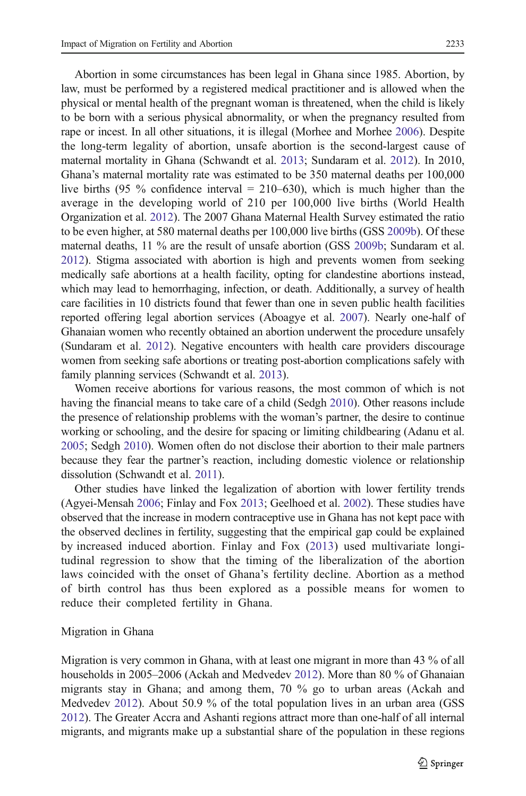Abortion in some circumstances has been legal in Ghana since 1985. Abortion, by law, must be performed by a registered medical practitioner and is allowed when the physical or mental health of the pregnant woman is threatened, when the child is likely to be born with a serious physical abnormality, or when the pregnancy resulted from rape or incest. In all other situations, it is illegal (Morhee and Morhee [2006](#page-24-0)). Despite the long-term legality of abortion, unsafe abortion is the second-largest cause of maternal mortality in Ghana (Schwandt et al. [2013](#page-25-0); Sundaram et al. [2012\)](#page-25-0). In 2010, Ghana's maternal mortality rate was estimated to be 350 maternal deaths per 100,000 live births (95 % confidence interval  $= 210-630$ ), which is much higher than the average in the developing world of 210 per 100,000 live births (World Health Organization et al. [2012\)](#page-25-0). The 2007 Ghana Maternal Health Survey estimated the ratio to be even higher, at 580 maternal deaths per 100,000 live births (GSS [2009b](#page-24-0)). Of these maternal deaths, 11 % are the result of unsafe abortion (GSS [2009b](#page-24-0); Sundaram et al. [2012\)](#page-25-0). Stigma associated with abortion is high and prevents women from seeking medically safe abortions at a health facility, opting for clandestine abortions instead, which may lead to hemorrhaging, infection, or death. Additionally, a survey of health care facilities in 10 districts found that fewer than one in seven public health facilities reported offering legal abortion services (Aboagye et al. [2007\)](#page-23-0). Nearly one-half of Ghanaian women who recently obtained an abortion underwent the procedure unsafely (Sundaram et al. [2012\)](#page-25-0). Negative encounters with health care providers discourage women from seeking safe abortions or treating post-abortion complications safely with family planning services (Schwandt et al. [2013](#page-25-0)).

Women receive abortions for various reasons, the most common of which is not having the financial means to take care of a child (Sedgh [2010](#page-25-0)). Other reasons include the presence of relationship problems with the woman's partner, the desire to continue working or schooling, and the desire for spacing or limiting childbearing (Adanu et al. [2005;](#page-24-0) Sedgh [2010\)](#page-25-0). Women often do not disclose their abortion to their male partners because they fear the partner's reaction, including domestic violence or relationship dissolution (Schwandt et al. [2011](#page-25-0)).

Other studies have linked the legalization of abortion with lower fertility trends (Agyei-Mensah [2006](#page-24-0); Finlay and Fox [2013;](#page-24-0) Geelhoed et al. [2002\)](#page-24-0). These studies have observed that the increase in modern contraceptive use in Ghana has not kept pace with the observed declines in fertility, suggesting that the empirical gap could be explained by increased induced abortion. Finlay and Fox ([2013](#page-24-0)) used multivariate longitudinal regression to show that the timing of the liberalization of the abortion laws coincided with the onset of Ghana's fertility decline. Abortion as a method of birth control has thus been explored as a possible means for women to reduce their completed fertility in Ghana.

### Migration in Ghana

Migration is very common in Ghana, with at least one migrant in more than 43 % of all households in 2005–2006 (Ackah and Medvedev [2012\)](#page-23-0). More than 80 % of Ghanaian migrants stay in Ghana; and among them, 70 % go to urban areas (Ackah and Medvedev [2012](#page-23-0)). About 50.9 % of the total population lives in an urban area (GSS [2012\)](#page-24-0). The Greater Accra and Ashanti regions attract more than one-half of all internal migrants, and migrants make up a substantial share of the population in these regions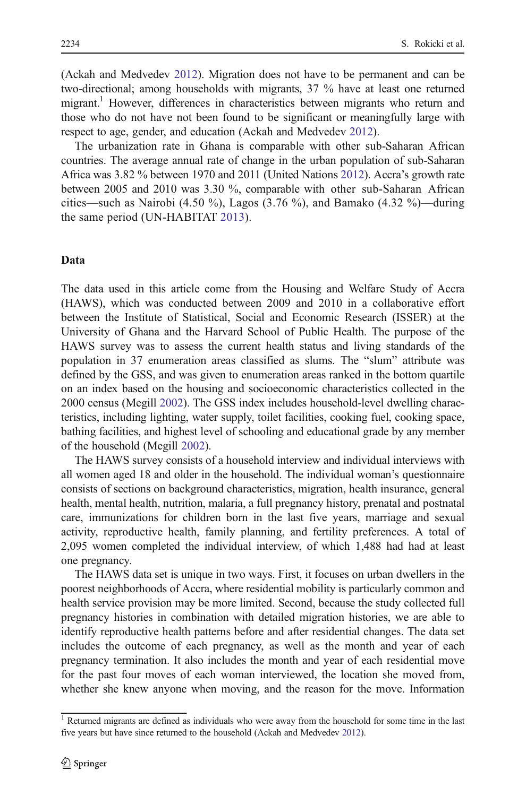(Ackah and Medvedev [2012](#page-23-0)). Migration does not have to be permanent and can be two-directional; among households with migrants, 37 % have at least one returned migrant.<sup>1</sup> However, differences in characteristics between migrants who return and those who do not have not been found to be significant or meaningfully large with respect to age, gender, and education (Ackah and Medvedev [2012\)](#page-23-0).

The urbanization rate in Ghana is comparable with other sub-Saharan African countries. The average annual rate of change in the urban population of sub-Saharan Africa was 3.82 % between 1970 and 2011 (United Nations [2012](#page-25-0)). Accra's growth rate between 2005 and 2010 was 3.30 %, comparable with other sub-Saharan African cities—such as Nairobi (4.50 %), Lagos (3.76 %), and Bamako (4.32 %)—during the same period (UN-HABITAT [2013\)](#page-25-0).

### Data

The data used in this article come from the Housing and Welfare Study of Accra (HAWS), which was conducted between 2009 and 2010 in a collaborative effort between the Institute of Statistical, Social and Economic Research (ISSER) at the University of Ghana and the Harvard School of Public Health. The purpose of the HAWS survey was to assess the current health status and living standards of the population in 37 enumeration areas classified as slums. The "slum" attribute was defined by the GSS, and was given to enumeration areas ranked in the bottom quartile on an index based on the housing and socioeconomic characteristics collected in the 2000 census (Megill [2002](#page-24-0)). The GSS index includes household-level dwelling characteristics, including lighting, water supply, toilet facilities, cooking fuel, cooking space, bathing facilities, and highest level of schooling and educational grade by any member of the household (Megill [2002](#page-24-0)).

The HAWS survey consists of a household interview and individual interviews with all women aged 18 and older in the household. The individual woman's questionnaire consists of sections on background characteristics, migration, health insurance, general health, mental health, nutrition, malaria, a full pregnancy history, prenatal and postnatal care, immunizations for children born in the last five years, marriage and sexual activity, reproductive health, family planning, and fertility preferences. A total of 2,095 women completed the individual interview, of which 1,488 had had at least one pregnancy.

The HAWS data set is unique in two ways. First, it focuses on urban dwellers in the poorest neighborhoods of Accra, where residential mobility is particularly common and health service provision may be more limited. Second, because the study collected full pregnancy histories in combination with detailed migration histories, we are able to identify reproductive health patterns before and after residential changes. The data set includes the outcome of each pregnancy, as well as the month and year of each pregnancy termination. It also includes the month and year of each residential move for the past four moves of each woman interviewed, the location she moved from, whether she knew anyone when moving, and the reason for the move. Information

 $1$  Returned migrants are defined as individuals who were away from the household for some time in the last five years but have since returned to the household (Ackah and Medvedev [2012](#page-23-0)).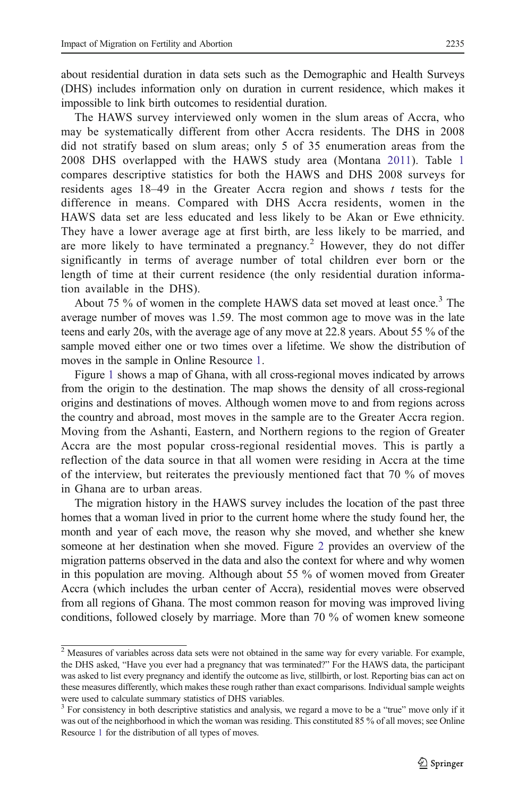about residential duration in data sets such as the Demographic and Health Surveys (DHS) includes information only on duration in current residence, which makes it impossible to link birth outcomes to residential duration.

The HAWS survey interviewed only women in the slum areas of Accra, who may be systematically different from other Accra residents. The DHS in 2008 did not stratify based on slum areas; only 5 of 35 enumeration areas from the 2008 DHS overlapped with the HAWS study area (Montana [2011\)](#page-24-0). Table [1](#page-7-0) compares descriptive statistics for both the HAWS and DHS 2008 surveys for residents ages  $18-49$  in the Greater Accra region and shows t tests for the difference in means. Compared with DHS Accra residents, women in the HAWS data set are less educated and less likely to be Akan or Ewe ethnicity. They have a lower average age at first birth, are less likely to be married, and are more likely to have terminated a pregnancy.<sup>2</sup> However, they do not differ significantly in terms of average number of total children ever born or the length of time at their current residence (the only residential duration information available in the DHS).

About 75 % of women in the complete HAWS data set moved at least once.<sup>3</sup> The average number of moves was 1.59. The most common age to move was in the late teens and early 20s, with the average age of any move at 22.8 years. About 55 % of the sample moved either one or two times over a lifetime. We show the distribution of moves in the sample in Online Resource 1.

Figure [1](#page-8-0) shows a map of Ghana, with all cross-regional moves indicated by arrows from the origin to the destination. The map shows the density of all cross-regional origins and destinations of moves. Although women move to and from regions across the country and abroad, most moves in the sample are to the Greater Accra region. Moving from the Ashanti, Eastern, and Northern regions to the region of Greater Accra are the most popular cross-regional residential moves. This is partly a reflection of the data source in that all women were residing in Accra at the time of the interview, but reiterates the previously mentioned fact that 70 % of moves in Ghana are to urban areas.

The migration history in the HAWS survey includes the location of the past three homes that a woman lived in prior to the current home where the study found her, the month and year of each move, the reason why she moved, and whether she knew someone at her destination when she moved. Figure [2](#page-9-0) provides an overview of the migration patterns observed in the data and also the context for where and why women in this population are moving. Although about 55 % of women moved from Greater Accra (which includes the urban center of Accra), residential moves were observed from all regions of Ghana. The most common reason for moving was improved living conditions, followed closely by marriage. More than 70 % of women knew someone

 $\sqrt{2}$  Measures of variables across data sets were not obtained in the same way for every variable. For example, the DHS asked, "Have you ever had a pregnancy that was terminated?" For the HAWS data, the participant was asked to list every pregnancy and identify the outcome as live, stillbirth, or lost. Reporting bias can act on these measures differently, which makes these rough rather than exact comparisons. Individual sample weights were used to calculate summary statistics of DHS variables.

<sup>&</sup>lt;sup>3</sup> For consistency in both descriptive statistics and analysis, we regard a move to be a "true" move only if it was out of the neighborhood in which the woman was residing. This constituted 85 % of all moves; see Online Resource 1 for the distribution of all types of moves.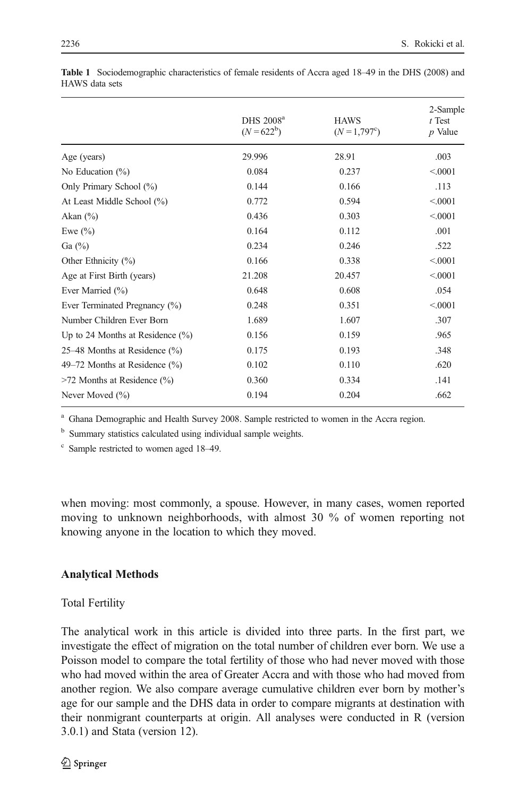|                                     | <b>DHS</b> 2008 <sup>a</sup><br>$(N = 622^b)$ | <b>HAWS</b><br>$(N = 1,797^{\circ})$ | 2-Sample<br>$t$ Test<br>$p$ Value |
|-------------------------------------|-----------------------------------------------|--------------------------------------|-----------------------------------|
| Age (years)                         | 29.996                                        | 28.91                                | .003                              |
| No Education $(\% )$                | 0.084                                         | 0.237                                | < 0001                            |
| Only Primary School (%)             | 0.144                                         | 0.166                                | .113                              |
| At Least Middle School (%)          | 0.772                                         | 0.594                                | < 0001                            |
| Akan $(\% )$                        | 0.436                                         | 0.303                                | < 0001                            |
| Ewe $(\% )$                         | 0.164                                         | 0.112                                | .001                              |
| Ga $(%)$                            | 0.234                                         | 0.246                                | .522                              |
| Other Ethnicity (%)                 | 0.166                                         | 0.338                                | < 0001                            |
| Age at First Birth (years)          | 21.208                                        | 20.457                               | < 0001                            |
| Ever Married (%)                    | 0.648                                         | 0.608                                | .054                              |
| Ever Terminated Pregnancy (%)       | 0.248                                         | 0.351                                | < 0001                            |
| Number Children Ever Born           | 1.689                                         | 1.607                                | .307                              |
| Up to 24 Months at Residence $(\%)$ | 0.156                                         | 0.159                                | .965                              |
| 25–48 Months at Residence (%)       | 0.175                                         | 0.193                                | .348                              |
| 49–72 Months at Residence $(\% )$   | 0.102                                         | 0.110                                | .620                              |
| $>72$ Months at Residence $(\% )$   | 0.360                                         | 0.334                                | .141                              |
| Never Moved $(\% )$                 | 0.194                                         | 0.204                                | .662                              |

<span id="page-7-0"></span>Table 1 Sociodemographic characteristics of female residents of Accra aged 18–49 in the DHS (2008) and HAWS data sets

<sup>a</sup> Ghana Demographic and Health Survey 2008. Sample restricted to women in the Accra region.

<sup>b</sup> Summary statistics calculated using individual sample weights.

<sup>c</sup> Sample restricted to women aged 18–49.

when moving: most commonly, a spouse. However, in many cases, women reported moving to unknown neighborhoods, with almost 30 % of women reporting not knowing anyone in the location to which they moved.

# Analytical Methods

# Total Fertility

The analytical work in this article is divided into three parts. In the first part, we investigate the effect of migration on the total number of children ever born. We use a Poisson model to compare the total fertility of those who had never moved with those who had moved within the area of Greater Accra and with those who had moved from another region. We also compare average cumulative children ever born by mother's age for our sample and the DHS data in order to compare migrants at destination with their nonmigrant counterparts at origin. All analyses were conducted in R (version 3.0.1) and Stata (version 12).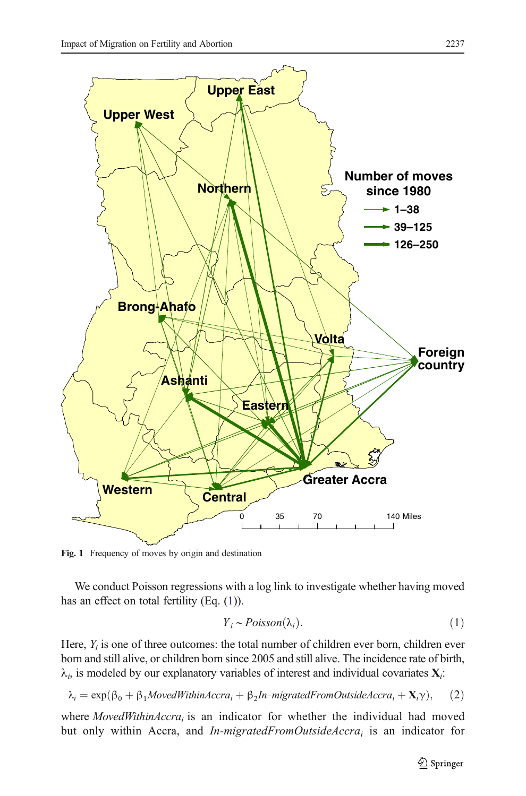<span id="page-8-0"></span>

Fig. 1 Frequency of moves by origin and destination

We conduct Poisson regressions with a log link to investigate whether having moved has an effect on total fertility (Eq.  $(1)$ ).

$$
Y_i \sim Poisson(\lambda_i). \tag{1}
$$

Here,  $Y_i$  is one of three outcomes: the total number of children ever born, children ever born and still alive, or children born since 2005 and still alive. The incidence rate of birth,  $\lambda_i$ , is modeled by our explanatory variables of interest and individual covariates  $\mathbf{X}_i$ :

$$
\lambda_i = \exp(\beta_0 + \beta_1 MovedWithinAccra_i + \beta_2 In-migrated FromOutsideAccra_i + \mathbf{X}_i \gamma), \quad (2)
$$

where MovedWithinAccra<sub>i</sub> is an indicator for whether the individual had moved but only within Accra, and In-migratedFromOutsideAccra<sub>i</sub> is an indicator for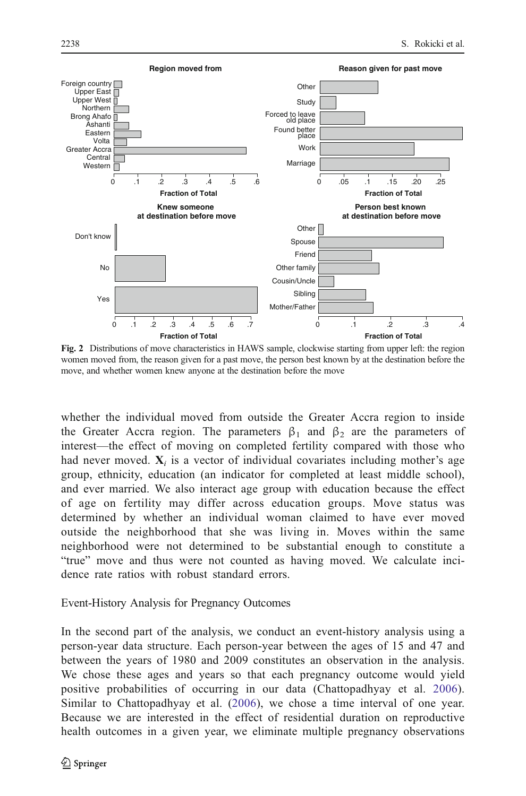<span id="page-9-0"></span>

Fig. 2 Distributions of move characteristics in HAWS sample, clockwise starting from upper left: the region women moved from, the reason given for a past move, the person best known by at the destination before the move, and whether women knew anyone at the destination before the move

whether the individual moved from outside the Greater Accra region to inside the Greater Accra region. The parameters  $\beta_1$  and  $\beta_2$  are the parameters of interest—the effect of moving on completed fertility compared with those who had never moved.  $X_i$  is a vector of individual covariates including mother's age group, ethnicity, education (an indicator for completed at least middle school), and ever married. We also interact age group with education because the effect of age on fertility may differ across education groups. Move status was determined by whether an individual woman claimed to have ever moved outside the neighborhood that she was living in. Moves within the same neighborhood were not determined to be substantial enough to constitute a "true" move and thus were not counted as having moved. We calculate incidence rate ratios with robust standard errors.

### Event-History Analysis for Pregnancy Outcomes

In the second part of the analysis, we conduct an event-history analysis using a person-year data structure. Each person-year between the ages of 15 and 47 and between the years of 1980 and 2009 constitutes an observation in the analysis. We chose these ages and years so that each pregnancy outcome would yield positive probabilities of occurring in our data (Chattopadhyay et al. [2006\)](#page-24-0). Similar to Chattopadhyay et al. ([2006](#page-24-0)), we chose a time interval of one year. Because we are interested in the effect of residential duration on reproductive health outcomes in a given year, we eliminate multiple pregnancy observations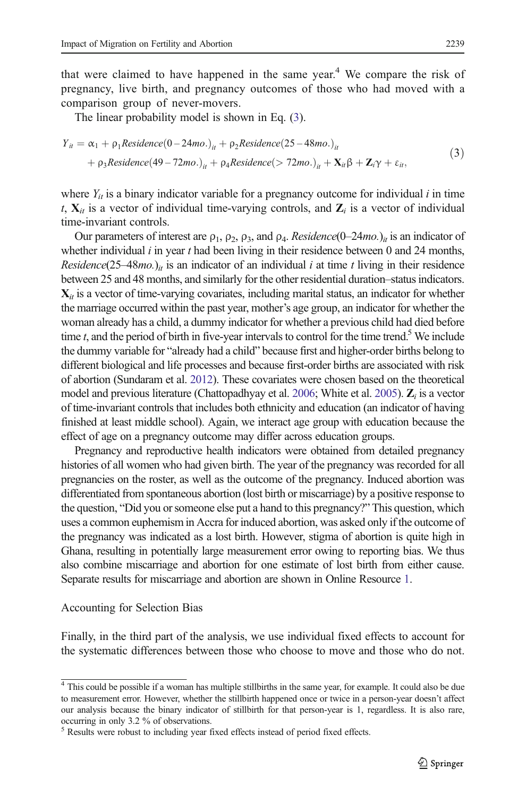that were claimed to have happened in the same year.<sup>4</sup> We compare the risk of pregnancy, live birth, and pregnancy outcomes of those who had moved with a comparison group of never-movers.

The linear probability model is shown in Eq. (3).

$$
Y_{it} = \alpha_1 + \rho_1 Residence(0 - 24mo.)_{it} + \rho_2 Residence(25 - 48mo.)_{it}
$$
  
+  $\rho_3 Residence(49 - 72mo.)_{it} + \rho_4 Residence(> 72mo.)_{it} + \mathbf{X}_{it} \beta + \mathbf{Z}_{i} \gamma + \varepsilon_{it},$  (3)

where  $Y_{it}$  is a binary indicator variable for a pregnancy outcome for individual i in time t,  $X_{it}$  is a vector of individual time-varying controls, and  $Z_i$  is a vector of individual time-invariant controls.

Our parameters of interest are  $\rho_1$ ,  $\rho_2$ ,  $\rho_3$ , and  $\rho_4$ . Residence(0–24mo.)<sub>it</sub> is an indicator of whether individual  $i$  in year  $t$  had been living in their residence between 0 and 24 months, Residence(25–48mo.)<sub>it</sub> is an indicator of an individual i at time t living in their residence between 25 and 48 months, and similarly for the other residential duration–status indicators.  $X_{it}$  is a vector of time-varying covariates, including marital status, an indicator for whether the marriage occurred within the past year, mother's age group, an indicator for whether the woman already has a child, a dummy indicator for whether a previous child had died before time  $t$ , and the period of birth in five-year intervals to control for the time trend.<sup>5</sup> We include the dummy variable for "already had a child" because first and higher-order births belong to different biological and life processes and because first-order births are associated with risk of abortion (Sundaram et al. [2012\)](#page-25-0). These covariates were chosen based on the theoretical model and previous literature (Chattopadhyay et al. [2006](#page-24-0); White et al. [2005](#page-25-0)).  $\mathbb{Z}_i$  is a vector of time-invariant controls that includes both ethnicity and education (an indicator of having finished at least middle school). Again, we interact age group with education because the effect of age on a pregnancy outcome may differ across education groups.

Pregnancy and reproductive health indicators were obtained from detailed pregnancy histories of all women who had given birth. The year of the pregnancy was recorded for all pregnancies on the roster, as well as the outcome of the pregnancy. Induced abortion was differentiated from spontaneous abortion (lost birth or miscarriage) by a positive response to the question, "Did you or someone else put a hand to this pregnancy?" This question, which uses a common euphemism in Accra for induced abortion, was asked only if the outcome of the pregnancy was indicated as a lost birth. However, stigma of abortion is quite high in Ghana, resulting in potentially large measurement error owing to reporting bias. We thus also combine miscarriage and abortion for one estimate of lost birth from either cause. Separate results for miscarriage and abortion are shown in Online Resource 1.

### Accounting for Selection Bias

Finally, in the third part of the analysis, we use individual fixed effects to account for the systematic differences between those who choose to move and those who do not.

 $\frac{4}{4}$  This could be possible if a woman has multiple stillbirths in the same year, for example. It could also be due to measurement error. However, whether the stillbirth happened once or twice in a person-year doesn't affect our analysis because the binary indicator of stillbirth for that person-year is 1, regardless. It is also rare, occurring in only 3.2 % of observations.

<sup>&</sup>lt;sup>5</sup> Results were robust to including year fixed effects instead of period fixed effects.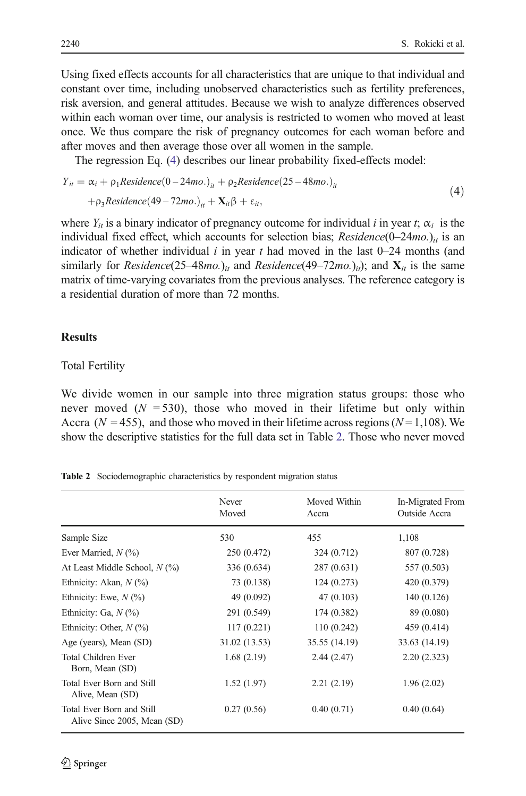Using fixed effects accounts for all characteristics that are unique to that individual and constant over time, including unobserved characteristics such as fertility preferences, risk aversion, and general attitudes. Because we wish to analyze differences observed within each woman over time, our analysis is restricted to women who moved at least once. We thus compare the risk of pregnancy outcomes for each woman before and after moves and then average those over all women in the sample.

The regression Eq. (4) describes our linear probability fixed-effects model:

$$
Y_{ii} = \alpha_i + \rho_1 Residence(0 - 24mo.)_{it} + \rho_2 Residence(25 - 48mo.)_{it}
$$
  
+
$$
\rho_3 Residence(49 - 72mo.)_{it} + \mathbf{X}_{it}\beta + \varepsilon_{it},
$$
 (4)

where  $Y_{it}$  is a binary indicator of pregnancy outcome for individual i in year t;  $\alpha_i$  is the individual fixed effect, which accounts for selection bias;  $Residence(0-24mo.)<sub>it</sub>$  is an indicator of whether individual i in year t had moved in the last  $0-24$  months (and similarly for *Residence*(25–48*mo.*)<sub>it</sub> and *Residence*(49–72*mo.*)<sub>it</sub>); and  $X_{it}$  is the same matrix of time-varying covariates from the previous analyses. The reference category is a residential duration of more than 72 months.

### **Results**

### Total Fertility

We divide women in our sample into three migration status groups: those who never moved ( $N = 530$ ), those who moved in their lifetime but only within Accra ( $N = 455$ ), and those who moved in their lifetime across regions ( $N = 1,108$ ). We show the descriptive statistics for the full data set in Table 2. Those who never moved

Table 2 Sociodemographic characteristics by respondent migration status

|                                                          | Never<br>Moved | Moved Within<br>Accra | In-Migrated From<br>Outside Accra |
|----------------------------------------------------------|----------------|-----------------------|-----------------------------------|
| Sample Size                                              | 530            | 455                   | 1,108                             |
| Ever Married, $N$ $(\%)$                                 | 250 (0.472)    | 324 (0.712)           | 807 (0.728)                       |
| At Least Middle School, $N$ (%)                          | 336 (0.634)    | 287 (0.631)           | 557 (0.503)                       |
| Ethnicity: Akan, $N$ (%)                                 | 73 (0.138)     | 124(0.273)            | 420 (0.379)                       |
| Ethnicity: Ewe, $N$ (%)                                  | 49 (0.092)     | 47(0.103)             | 140 (0.126)                       |
| Ethnicity: Ga, $N$ (%)                                   | 291 (0.549)    | 174 (0.382)           | 89 (0.080)                        |
| Ethnicity: Other, $N$ (%)                                | 117(0.221)     | 110(0.242)            | 459 (0.414)                       |
| Age (years), Mean (SD)                                   | 31.02 (13.53)  | 35.55 (14.19)         | 33.63 (14.19)                     |
| Total Children Ever<br>Born, Mean (SD)                   | 1.68(2.19)     | 2.44(2.47)            | 2.20(2.323)                       |
| Total Ever Born and Still<br>Alive, Mean (SD)            | 1.52(1.97)     | 2.21(2.19)            | 1.96(2.02)                        |
| Total Ever Born and Still<br>Alive Since 2005, Mean (SD) | 0.27(0.56)     | 0.40(0.71)            | 0.40(0.64)                        |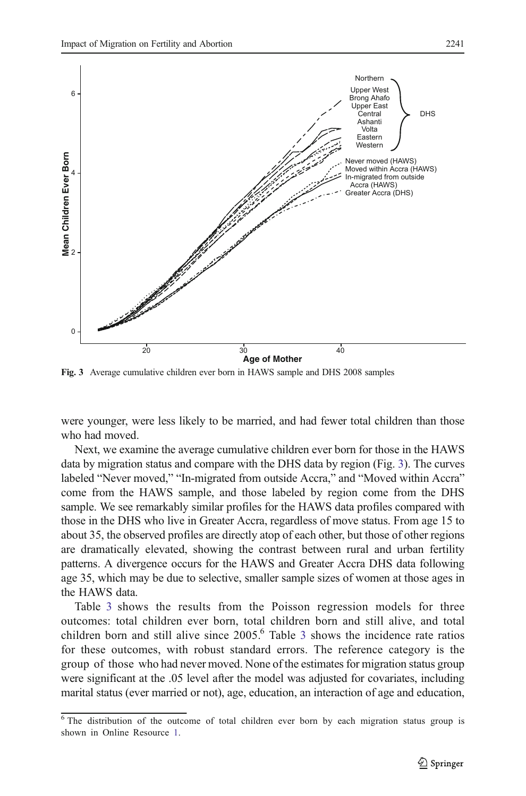

Fig. 3 Average cumulative children ever born in HAWS sample and DHS 2008 samples

were younger, were less likely to be married, and had fewer total children than those who had moved.

Next, we examine the average cumulative children ever born for those in the HAWS data by migration status and compare with the DHS data by region (Fig. 3). The curves labeled "Never moved," "In-migrated from outside Accra," and "Moved within Accra" come from the HAWS sample, and those labeled by region come from the DHS sample. We see remarkably similar profiles for the HAWS data profiles compared with those in the DHS who live in Greater Accra, regardless of move status. From age 15 to about 35, the observed profiles are directly atop of each other, but those of other regions are dramatically elevated, showing the contrast between rural and urban fertility patterns. A divergence occurs for the HAWS and Greater Accra DHS data following age 35, which may be due to selective, smaller sample sizes of women at those ages in the HAWS data.

Table [3](#page-13-0) shows the results from the Poisson regression models for three outcomes: total children ever born, total children born and still alive, and total children born and still alive since  $2005<sup>6</sup>$  Table [3](#page-13-0) shows the incidence rate ratios for these outcomes, with robust standard errors. The reference category is the group of those who had never moved. None of the estimates for migration status group were significant at the .05 level after the model was adjusted for covariates, including marital status (ever married or not), age, education, an interaction of age and education,

<sup>&</sup>lt;sup>6</sup> The distribution of the outcome of total children ever born by each migration status group is shown in Online Resource 1.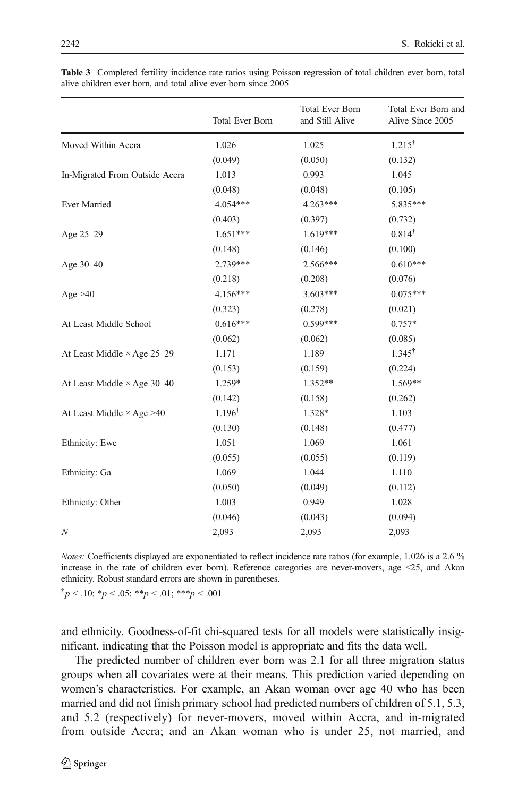<span id="page-13-0"></span>

| 2242 | $\overline{\phantom{a}}$ | ה<br>Rokicki<br>et al. |
|------|--------------------------|------------------------|
|      |                          |                        |

|                                    | <b>Total Ever Born</b> | <b>Total Ever Born</b><br>and Still Alive | Total Ever Born and<br>Alive Since 2005 |
|------------------------------------|------------------------|-------------------------------------------|-----------------------------------------|
| Moved Within Accra                 | 1.026                  | 1.025                                     | $1.215^{\dagger}$                       |
|                                    | (0.049)                | (0.050)                                   | (0.132)                                 |
| In-Migrated From Outside Accra     | 1.013                  | 0.993                                     | 1.045                                   |
|                                    | (0.048)                | (0.048)                                   | (0.105)                                 |
| Ever Married                       | $4.054***$             | $4.263***$                                | 5.835***                                |
|                                    | (0.403)                | (0.397)                                   | (0.732)                                 |
| Age 25-29                          | $1.651***$             | 1.619***                                  | $0.814^{\dagger}$                       |
|                                    | (0.148)                | (0.146)                                   | (0.100)                                 |
| Age 30-40                          | 2.739***               | $2.566***$                                | $0.610***$                              |
|                                    | (0.218)                | (0.208)                                   | (0.076)                                 |
| Age $>40$                          | 4.156***               | $3.603***$                                | $0.075***$                              |
|                                    | (0.323)                | (0.278)                                   | (0.021)                                 |
| At Least Middle School             | $0.616***$             | $0.599***$                                | $0.757*$                                |
|                                    | (0.062)                | (0.062)                                   | (0.085)                                 |
| At Least Middle $\times$ Age 25–29 | 1.171                  | 1.189                                     | $1.345^{\dagger}$                       |
|                                    | (0.153)                | (0.159)                                   | (0.224)                                 |
| At Least Middle $\times$ Age 30–40 | 1.259*                 | 1.352**                                   | $1.569**$                               |
|                                    | (0.142)                | (0.158)                                   | (0.262)                                 |
| At Least Middle $\times$ Age $>40$ | $1.196^{\dagger}$      | 1.328*                                    | 1.103                                   |
|                                    | (0.130)                | (0.148)                                   | (0.477)                                 |
| Ethnicity: Ewe                     | 1.051                  | 1.069                                     | 1.061                                   |
|                                    | (0.055)                | (0.055)                                   | (0.119)                                 |
| Ethnicity: Ga                      | 1.069                  | 1.044                                     | 1.110                                   |
|                                    | (0.050)                | (0.049)                                   | (0.112)                                 |
| Ethnicity: Other                   | 1.003                  | 0.949                                     | 1.028                                   |
|                                    | (0.046)                | (0.043)                                   | (0.094)                                 |
| N                                  | 2,093                  | 2,093                                     | 2,093                                   |

Table 3 Completed fertility incidence rate ratios using Poisson regression of total children ever born, total alive children ever born, and total alive ever born since 2005

Notes: Coefficients displayed are exponentiated to reflect incidence rate ratios (for example, 1.026 is a 2.6 % increase in the rate of children ever born). Reference categories are never-movers, age <25, and Akan ethnicity. Robust standard errors are shown in parentheses.

 $\phi^{\dagger} p < .10; \, \phi^{\dagger} p < .05; \, \phi^{\dagger} p < .01; \, \phi^{\dagger} p < .001$ 

and ethnicity. Goodness-of-fit chi-squared tests for all models were statistically insignificant, indicating that the Poisson model is appropriate and fits the data well.

The predicted number of children ever born was 2.1 for all three migration status groups when all covariates were at their means. This prediction varied depending on women's characteristics. For example, an Akan woman over age 40 who has been married and did not finish primary school had predicted numbers of children of 5.1, 5.3, and 5.2 (respectively) for never-movers, moved within Accra, and in-migrated from outside Accra; and an Akan woman who is under 25, not married, and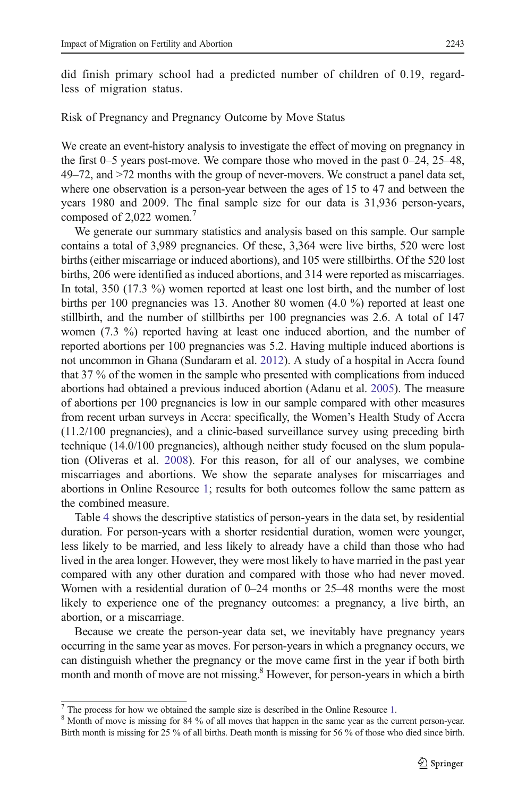did finish primary school had a predicted number of children of 0.19, regardless of migration status.

Risk of Pregnancy and Pregnancy Outcome by Move Status

We create an event-history analysis to investigate the effect of moving on pregnancy in the first 0–5 years post-move. We compare those who moved in the past 0–24, 25–48, 49–72, and >72 months with the group of never-movers. We construct a panel data set, where one observation is a person-year between the ages of 15 to 47 and between the years 1980 and 2009. The final sample size for our data is 31,936 person-years, composed of 2,022 women.<sup>7</sup>

We generate our summary statistics and analysis based on this sample. Our sample contains a total of 3,989 pregnancies. Of these, 3,364 were live births, 520 were lost births (either miscarriage or induced abortions), and 105 were stillbirths. Of the 520 lost births, 206 were identified as induced abortions, and 314 were reported as miscarriages. In total, 350 (17.3 %) women reported at least one lost birth, and the number of lost births per 100 pregnancies was 13. Another 80 women (4.0 %) reported at least one stillbirth, and the number of stillbirths per 100 pregnancies was 2.6. A total of 147 women (7.3 %) reported having at least one induced abortion, and the number of reported abortions per 100 pregnancies was 5.2. Having multiple induced abortions is not uncommon in Ghana (Sundaram et al. [2012](#page-25-0)). A study of a hospital in Accra found that 37 % of the women in the sample who presented with complications from induced abortions had obtained a previous induced abortion (Adanu et al. [2005](#page-24-0)). The measure of abortions per 100 pregnancies is low in our sample compared with other measures from recent urban surveys in Accra: specifically, the Women's Health Study of Accra (11.2/100 pregnancies), and a clinic-based surveillance survey using preceding birth technique (14.0/100 pregnancies), although neither study focused on the slum population (Oliveras et al. [2008](#page-25-0)). For this reason, for all of our analyses, we combine miscarriages and abortions. We show the separate analyses for miscarriages and abortions in Online Resource 1; results for both outcomes follow the same pattern as the combined measure.

Table [4](#page-15-0) shows the descriptive statistics of person-years in the data set, by residential duration. For person-years with a shorter residential duration, women were younger, less likely to be married, and less likely to already have a child than those who had lived in the area longer. However, they were most likely to have married in the past year compared with any other duration and compared with those who had never moved. Women with a residential duration of 0–24 months or 25–48 months were the most likely to experience one of the pregnancy outcomes: a pregnancy, a live birth, an abortion, or a miscarriage.

Because we create the person-year data set, we inevitably have pregnancy years occurring in the same year as moves. For person-years in which a pregnancy occurs, we can distinguish whether the pregnancy or the move came first in the year if both birth month and month of move are not missing.<sup>8</sup> However, for person-years in which a birth

 $\frac{7}{7}$  The process for how we obtained the sample size is described in the Online Resource 1.  $\frac{8}{100}$  Month of move is missing for 84 % of all moves that happen in the same year as the current person-year. Birth month is missing for 25 % of all births. Death month is missing for 56 % of those who died since birth.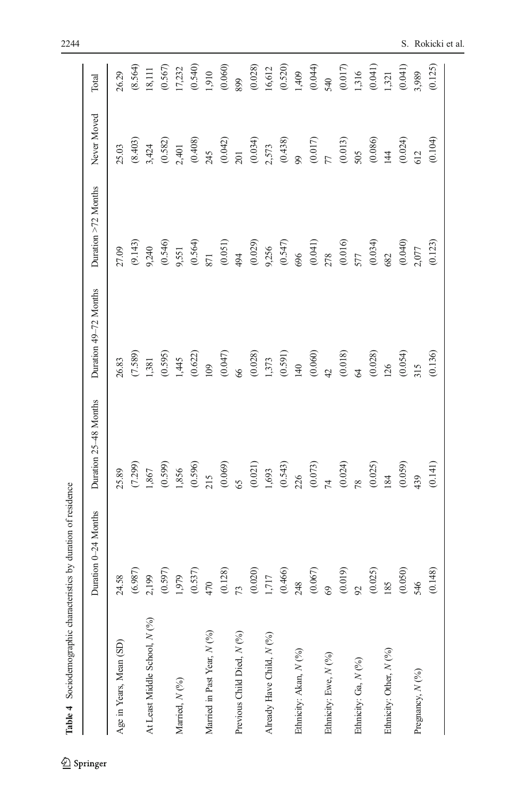<span id="page-15-0"></span>

| Table 4 Sociodemographic characteristics by duration of residence |                                                                                                              |                                                                                                                                      |                                                                                                                                                                                             |                                                                                                                                                                |                                                                                           |                                                                                                                                   |
|-------------------------------------------------------------------|--------------------------------------------------------------------------------------------------------------|--------------------------------------------------------------------------------------------------------------------------------------|---------------------------------------------------------------------------------------------------------------------------------------------------------------------------------------------|----------------------------------------------------------------------------------------------------------------------------------------------------------------|-------------------------------------------------------------------------------------------|-----------------------------------------------------------------------------------------------------------------------------------|
|                                                                   | Duration 0-24 Months                                                                                         | Duration 25-48 Months                                                                                                                | Duration 49-72 Months                                                                                                                                                                       | Duration >72 Months                                                                                                                                            | Never Moved                                                                               | <b>Total</b>                                                                                                                      |
| Age in Years, Mean (SD)                                           | 24.58                                                                                                        | 25.89                                                                                                                                | 26.83                                                                                                                                                                                       | 27.09                                                                                                                                                          | 25.03                                                                                     | 26.29                                                                                                                             |
|                                                                   | (6.987)                                                                                                      | (7.299)                                                                                                                              | (7.589)                                                                                                                                                                                     |                                                                                                                                                                |                                                                                           |                                                                                                                                   |
| At Least Middle School, N (%)                                     |                                                                                                              |                                                                                                                                      |                                                                                                                                                                                             |                                                                                                                                                                |                                                                                           | $(8.564)$<br>18,111                                                                                                               |
|                                                                   |                                                                                                              |                                                                                                                                      |                                                                                                                                                                                             |                                                                                                                                                                |                                                                                           |                                                                                                                                   |
| Married, N (%)                                                    | 2,199<br>$(0.597)$<br>$(1.979$<br>$(0.537)$<br>$(0.128)$<br>$(0.128)$<br>$(0.020)$<br>$(0.466)$<br>$(0.466)$ | 1,867<br>(0.599)<br>(0.596)<br>(0.699)<br>(0.693<br>(0.0054)<br>(0.0025)<br>(0.0025)<br>(0.0059)<br>(0.0059)<br>(0.0059)<br>(0.0059) | 1,381<br>(0.595)<br>1,445<br>(0.622)<br>109                                                                                                                                                 | $(9.143) \n9.240\n9.51\n(0.540)\n(0.561)\n(0.051)\n(0.051)\n(0.052)\n(0.052)\n(0.054)\n(0.056)\n(0.056)\n(0.057)\n(0.057)\n(0.034)\n(0.040)\n(0.040)\n(0.040)$ | $(8.403)3,4240.582)0.4032,4012,4032,5032,5732,5732,5732,6033,6037,6003600860086002612612$ | $(0.567)$<br>17,232<br>1910<br>1,910                                                                                              |
|                                                                   |                                                                                                              |                                                                                                                                      |                                                                                                                                                                                             |                                                                                                                                                                |                                                                                           |                                                                                                                                   |
| Married in Past Year, N (%)                                       |                                                                                                              |                                                                                                                                      |                                                                                                                                                                                             |                                                                                                                                                                |                                                                                           |                                                                                                                                   |
|                                                                   |                                                                                                              |                                                                                                                                      |                                                                                                                                                                                             |                                                                                                                                                                |                                                                                           |                                                                                                                                   |
| Previous Child Died, $N$ (%)                                      |                                                                                                              |                                                                                                                                      |                                                                                                                                                                                             |                                                                                                                                                                |                                                                                           |                                                                                                                                   |
|                                                                   |                                                                                                              |                                                                                                                                      |                                                                                                                                                                                             |                                                                                                                                                                |                                                                                           |                                                                                                                                   |
| Already Have Child, $N$ (%)                                       |                                                                                                              |                                                                                                                                      |                                                                                                                                                                                             |                                                                                                                                                                |                                                                                           |                                                                                                                                   |
|                                                                   |                                                                                                              |                                                                                                                                      |                                                                                                                                                                                             |                                                                                                                                                                |                                                                                           |                                                                                                                                   |
| Ethnicity: Akan, N (%)                                            |                                                                                                              |                                                                                                                                      |                                                                                                                                                                                             |                                                                                                                                                                |                                                                                           |                                                                                                                                   |
|                                                                   |                                                                                                              |                                                                                                                                      | $\begin{array}{l} (0.047) \\ 66 \\ (0.028) \\ (1.373 \\ (0.591) \\ (1.40 \\ (0.060) \\ (0.018) \\ (0.018) \\ (0.028) \\ (0.054) \\ (0.054) \\ (0.054) \\ (0.054) \\ (0.054) \\ \end{array}$ |                                                                                                                                                                |                                                                                           | $(0.060)$ $(0.028)$ $(0.028)$ $(0.520)$ $(0.520)$ $(0.032)$ $(0.044)$ $(0.041)$ $(0.017)$ $(0.017)$ $(0.041)$ $(0.041)$ $(0.041)$ |
| Ethnicity: Ewe, N (%)                                             | $\begin{array}{c} (0.067) \\ 69 \end{array}$                                                                 |                                                                                                                                      |                                                                                                                                                                                             |                                                                                                                                                                |                                                                                           |                                                                                                                                   |
|                                                                   |                                                                                                              |                                                                                                                                      |                                                                                                                                                                                             |                                                                                                                                                                |                                                                                           |                                                                                                                                   |
| Ethnicity: Ga, $N$ $\left(^{o}_{{0}}\right)$                      |                                                                                                              |                                                                                                                                      |                                                                                                                                                                                             |                                                                                                                                                                |                                                                                           |                                                                                                                                   |
|                                                                   | $(0.019)$<br>$92$<br>$(0.025)$<br>$185$<br>$(0.050)$<br>$546$                                                |                                                                                                                                      |                                                                                                                                                                                             |                                                                                                                                                                |                                                                                           |                                                                                                                                   |
| Ethnicity: Other, N (%)                                           |                                                                                                              |                                                                                                                                      |                                                                                                                                                                                             |                                                                                                                                                                |                                                                                           |                                                                                                                                   |
|                                                                   |                                                                                                              |                                                                                                                                      |                                                                                                                                                                                             |                                                                                                                                                                |                                                                                           |                                                                                                                                   |
| Pregnancy, $N(%$                                                  |                                                                                                              |                                                                                                                                      |                                                                                                                                                                                             |                                                                                                                                                                |                                                                                           |                                                                                                                                   |
|                                                                   | (0.148)                                                                                                      | (0.141)                                                                                                                              | (0.136)                                                                                                                                                                                     | (0.123)                                                                                                                                                        | (0.104)                                                                                   | (0.125)                                                                                                                           |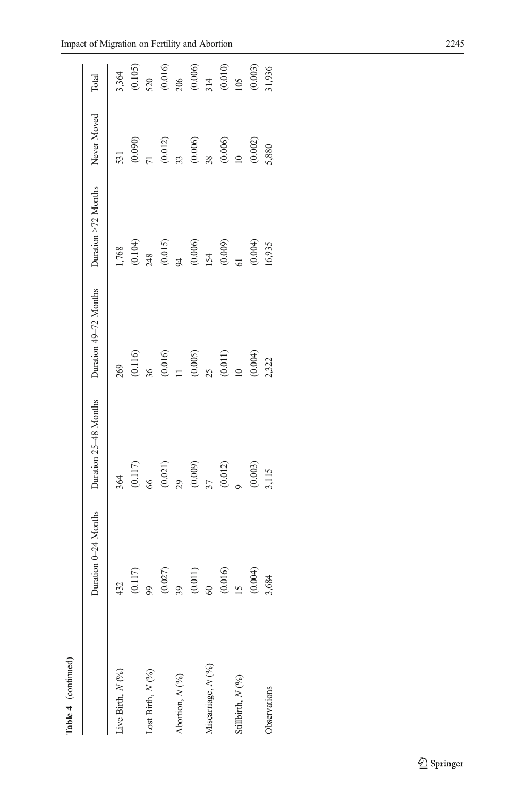| Ξ |  |
|---|--|

|                     | uration 0-24 Months | Duration 25-48 Months                                                                                 | Duration 49–72 Months                                                                      | Duration $>72$ Months                                                      | Never Moved                                                                                                  | Total                                                                             |
|---------------------|---------------------|-------------------------------------------------------------------------------------------------------|--------------------------------------------------------------------------------------------|----------------------------------------------------------------------------|--------------------------------------------------------------------------------------------------------------|-----------------------------------------------------------------------------------|
| Live Birth, $N$ (%) | 32                  |                                                                                                       |                                                                                            |                                                                            |                                                                                                              |                                                                                   |
|                     |                     |                                                                                                       |                                                                                            |                                                                            |                                                                                                              | 3,364<br>(0.105)<br>520                                                           |
| Lost Birth, $N$ (%) | $0.117$<br>9        |                                                                                                       |                                                                                            |                                                                            |                                                                                                              |                                                                                   |
|                     | (0.027)             | $\begin{array}{c} 364 \\ (0.117) \\ 66 \\ (0.021) \\ 29 \\ (0.009) \\ 37 \\ (0.012) \\ 9 \end{array}$ | 269<br>(0.116)<br>(0.016)<br>36<br>(0.005)<br>10<br>10<br>10<br>10<br>10<br>2,322<br>2,322 | 1,768<br>(0.104)<br>(0.015)<br>248<br>(0.005)<br>936<br>56,009)<br>56,004) | 531<br>$(0.090)$<br>$(0.012)$<br>$(3.3)$<br>$(0.006)$<br>$(0.006)$<br>$(0.0002)$<br>$(0.0002)$<br>$(0.0002)$ | $\begin{array}{c} (0.016) \\ 206 \\ (0.006) \\ 314 \\ (0.010) \\ 105 \end{array}$ |
| Abortion, N (%)     |                     |                                                                                                       |                                                                                            |                                                                            |                                                                                                              |                                                                                   |
|                     | (110.011)           |                                                                                                       |                                                                                            |                                                                            |                                                                                                              |                                                                                   |
| Miscarriage, N (%)  |                     |                                                                                                       |                                                                                            |                                                                            |                                                                                                              |                                                                                   |
|                     | (910, 0)            |                                                                                                       |                                                                                            |                                                                            |                                                                                                              |                                                                                   |
| Stillbirth, N (%)   | $\overline{5}$      |                                                                                                       |                                                                                            |                                                                            |                                                                                                              |                                                                                   |
|                     | (100, 0)            | (0.003)                                                                                               |                                                                                            |                                                                            |                                                                                                              | $(0.003)$<br>31,936                                                               |
| Observations        | .684                | 3,115                                                                                                 |                                                                                            |                                                                            |                                                                                                              |                                                                                   |
|                     |                     |                                                                                                       |                                                                                            |                                                                            |                                                                                                              |                                                                                   |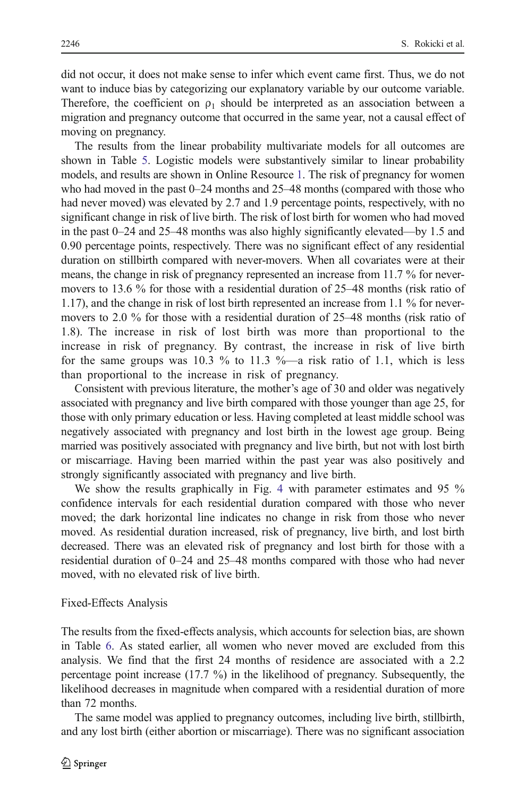did not occur, it does not make sense to infer which event came first. Thus, we do not want to induce bias by categorizing our explanatory variable by our outcome variable. Therefore, the coefficient on  $\rho_1$  should be interpreted as an association between a migration and pregnancy outcome that occurred in the same year, not a causal effect of moving on pregnancy.

The results from the linear probability multivariate models for all outcomes are shown in Table [5](#page-18-0). Logistic models were substantively similar to linear probability models, and results are shown in Online Resource 1. The risk of pregnancy for women who had moved in the past 0–24 months and 25–48 months (compared with those who had never moved) was elevated by 2.7 and 1.9 percentage points, respectively, with no significant change in risk of live birth. The risk of lost birth for women who had moved in the past 0–24 and 25–48 months was also highly significantly elevated—by 1.5 and 0.90 percentage points, respectively. There was no significant effect of any residential duration on stillbirth compared with never-movers. When all covariates were at their means, the change in risk of pregnancy represented an increase from 11.7 % for nevermovers to 13.6 % for those with a residential duration of 25–48 months (risk ratio of 1.17), and the change in risk of lost birth represented an increase from 1.1 % for nevermovers to 2.0 % for those with a residential duration of 25–48 months (risk ratio of 1.8). The increase in risk of lost birth was more than proportional to the increase in risk of pregnancy. By contrast, the increase in risk of live birth for the same groups was 10.3 % to 11.3 %—a risk ratio of 1.1, which is less than proportional to the increase in risk of pregnancy.

Consistent with previous literature, the mother's age of 30 and older was negatively associated with pregnancy and live birth compared with those younger than age 25, for those with only primary education or less. Having completed at least middle school was negatively associated with pregnancy and lost birth in the lowest age group. Being married was positively associated with pregnancy and live birth, but not with lost birth or miscarriage. Having been married within the past year was also positively and strongly significantly associated with pregnancy and live birth.

We show the results graphically in Fig. [4](#page-19-0) with parameter estimates and 95 % confidence intervals for each residential duration compared with those who never moved; the dark horizontal line indicates no change in risk from those who never moved. As residential duration increased, risk of pregnancy, live birth, and lost birth decreased. There was an elevated risk of pregnancy and lost birth for those with a residential duration of 0–24 and 25–48 months compared with those who had never moved, with no elevated risk of live birth.

#### Fixed-Effects Analysis

The results from the fixed-effects analysis, which accounts for selection bias, are shown in Table [6](#page-20-0). As stated earlier, all women who never moved are excluded from this analysis. We find that the first 24 months of residence are associated with a 2.2 percentage point increase (17.7 %) in the likelihood of pregnancy. Subsequently, the likelihood decreases in magnitude when compared with a residential duration of more than 72 months.

The same model was applied to pregnancy outcomes, including live birth, stillbirth, and any lost birth (either abortion or miscarriage). There was no significant association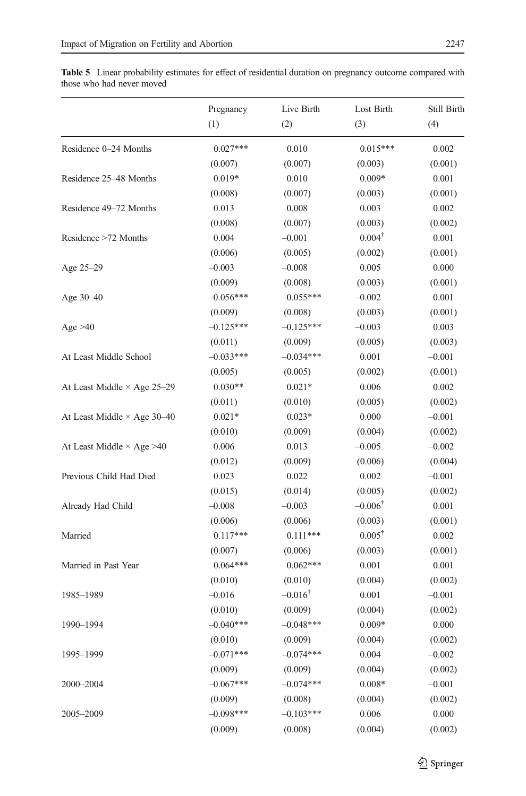|                                    | Pregnancy<br>(1) | Live Birth<br>(2)  | Lost Birth<br>(3)  | Still Birth<br>(4) |
|------------------------------------|------------------|--------------------|--------------------|--------------------|
| Residence 0-24 Months              | $0.027***$       | 0.010              | $0.015***$         | 0.002              |
|                                    | (0.007)          | (0.007)            | (0.003)            | (0.001)            |
| Residence 25-48 Months             | $0.019*$         | 0.010              | $0.009*$           | 0.001              |
|                                    | (0.008)          | (0.007)            | (0.003)            | (0.001)            |
| Residence 49–72 Months             | 0.013            | 0.008              | 0.003              | 0.002              |
|                                    | (0.008)          | (0.007)            | (0.003)            | (0.002)            |
| Residence >72 Months               | 0.004            | $-0.001$           | $0.004^{\dagger}$  | 0.001              |
|                                    | (0.006)          | (0.005)            | (0.002)            | (0.001)            |
| Age 25-29                          | $-0.003$         | $-0.008$           | 0.005              | 0.000              |
|                                    | (0.009)          | (0.008)            | (0.003)            | (0.001)            |
| Age 30-40                          | $-0.056***$      | $-0.055***$        | $-0.002$           | 0.001              |
|                                    | (0.009)          | (0.008)            | (0.003)            | (0.001)            |
| Age $>40$                          | $-0.125***$      | $-0.125***$        | $-0.003$           | 0.003              |
|                                    | (0.011)          | (0.009)            | (0.005)            | (0.003)            |
| At Least Middle School             | $-0.033***$      | $-0.034***$        | 0.001              | $-0.001$           |
|                                    | (0.005)          | (0.005)            | (0.002)            | (0.001)            |
| At Least Middle $\times$ Age 25-29 | $0.030**$        | $0.021*$           | 0.006              | 0.002              |
|                                    | (0.011)          | (0.010)            | (0.005)            | (0.002)            |
| At Least Middle $\times$ Age 30–40 | $0.021*$         | $0.023*$           | 0.000              | $-0.001$           |
|                                    | (0.010)          | (0.009)            | (0.004)            | (0.002)            |
| At Least Middle $\times$ Age >40   | 0.006            | 0.013              | $-0.005$           | $-0.002$           |
|                                    | (0.012)          | (0.009)            | (0.006)            | (0.004)            |
| Previous Child Had Died            | 0.023            | 0.022              | 0.002              | $-0.001$           |
|                                    | (0.015)          | (0.014)            | (0.005)            | (0.002)            |
| Already Had Child                  | $-0.008$         | $-0.003$           | $-0.006^{\dagger}$ | 0.001              |
|                                    | (0.006)          | (0.006)            | (0.003)            | (0.001)            |
| Married                            | $0.117***$       | $0.111***$         | $0.005^{\dagger}$  | 0.002              |
|                                    | (0.007)          | (0.006)            | (0.003)            | (0.001)            |
| Married in Past Year               | $0.064***$       | $0.062***$         | 0.001              | 0.001              |
|                                    | (0.010)          | (0.010)            | (0.004)            | (0.002)            |
| 1985-1989                          | $-0.016$         | $-0.016^{\dagger}$ | 0.001              | $-0.001$           |
|                                    | (0.010)          | (0.009)            | (0.004)            | (0.002)            |
| 1990–1994                          | $-0.040***$      | $-0.048***$        | $0.009*$           | 0.000              |
|                                    | (0.010)          | (0.009)            | (0.004)            | (0.002)            |
| 1995-1999                          | $-0.071***$      | $-0.074***$        | 0.004              | $-0.002$           |
|                                    | (0.009)          | (0.009)            | (0.004)            | (0.002)            |
| 2000-2004                          | $-0.067***$      | $-0.074***$        | $0.008*$           | $-0.001$           |
|                                    | (0.009)          | (0.008)            | (0.004)            | (0.002)            |
| 2005-2009                          | $-0.098***$      | $-0.103***$        | 0.006              | 0.000              |
|                                    | (0.009)          | (0.008)            | (0.004)            | (0.002)            |

<span id="page-18-0"></span>Table 5 Linear probability estimates for effect of residential duration on pregnancy outcome compared with those who had never moved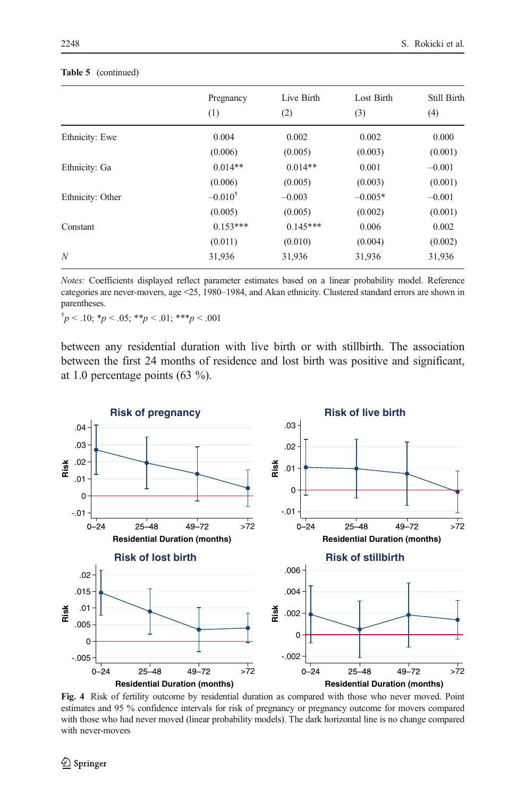|                  | Pregnancy<br>(1)   | Live Birth<br>(2) | Lost Birth<br>(3) | Still Birth<br>(4) |
|------------------|--------------------|-------------------|-------------------|--------------------|
| Ethnicity: Ewe   | 0.004              | 0.002             | 0.002             | 0.000              |
|                  | (0.006)            | (0.005)           | (0.003)           | (0.001)            |
| Ethnicity: Ga    | $0.014**$          | $0.014**$         | 0.001             | $-0.001$           |
|                  | (0.006)            | (0.005)           | (0.003)           | (0.001)            |
| Ethnicity: Other | $-0.010^{\dagger}$ | $-0.003$          | $-0.005*$         | $-0.001$           |
|                  | (0.005)            | (0.005)           | (0.002)           | (0.001)            |
| Constant         | $0.153***$         | $0.145***$        | 0.006             | 0.002              |
|                  | (0.011)            | (0.010)           | (0.004)           | (0.002)            |
| N                | 31,936             | 31,936            | 31,936            | 31,936             |
|                  |                    |                   |                   |                    |

#### <span id="page-19-0"></span>Table 5 (continued)

Notes: Coefficients displayed reflect parameter estimates based on a linear probability model. Reference categories are never-movers, age <25, 1980–1984, and Akan ethnicity. Clustered standard errors are shown in parentheses.

 $\phi^{\dagger} p < .10; \, \phi^{\dagger} p < .05; \, \phi^{\dagger} p < .01; \, \phi^{\dagger} p < .001$ 

between any residential duration with live birth or with stillbirth. The association between the first 24 months of residence and lost birth was positive and significant, at 1.0 percentage points (63 %).



Fig. 4 Risk of fertility outcome by residential duration as compared with those who never moved. Point estimates and 95 % confidence intervals for risk of pregnancy or pregnancy outcome for movers compared with those who had never moved (linear probability models). The dark horizontal line is no change compared with never-movers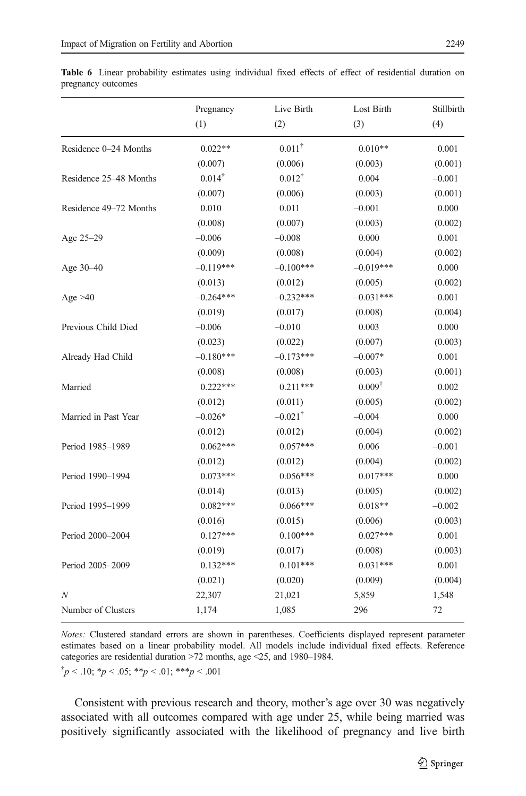|                        | Pregnancy         | Live Birth            | Lost Birth        | Stillbirth |
|------------------------|-------------------|-----------------------|-------------------|------------|
|                        | (1)               | (2)                   | (3)               | (4)        |
| Residence 0-24 Months  | $0.022**$         | $0.011^{\dagger}$     | $0.010**$         | 0.001      |
|                        | (0.007)           | (0.006)               | (0.003)           | (0.001)    |
| Residence 25-48 Months | $0.014^{\dagger}$ | $0.012^{\dagger}$     | 0.004             | $-0.001$   |
|                        | (0.007)           | (0.006)               | (0.003)           | (0.001)    |
| Residence 49-72 Months | 0.010             | 0.011                 | $-0.001$          | 0.000      |
|                        | (0.008)           | (0.007)               | (0.003)           | (0.002)    |
| Age 25-29              | $-0.006$          | $-0.008$              | 0.000             | 0.001      |
|                        | (0.009)           | (0.008)               | (0.004)           | (0.002)    |
| Age 30-40              | $-0.119***$       | $-0.100***$           | $-0.019***$       | 0.000      |
|                        | (0.013)           | (0.012)               | (0.005)           | (0.002)    |
| Age $>40$              | $-0.264***$       | $-0.232***$           | $-0.031***$       | $-0.001$   |
|                        | (0.019)           | (0.017)               | (0.008)           | (0.004)    |
| Previous Child Died    | $-0.006$          | $-0.010$              | 0.003             | 0.000      |
|                        | (0.023)           | (0.022)               | (0.007)           | (0.003)    |
| Already Had Child      | $-0.180***$       | $-0.173***$           | $-0.007*$         | 0.001      |
|                        | (0.008)           | (0.008)               | (0.003)           | (0.001)    |
| Married                | $0.222***$        | $0.211***$            | $0.009^{\dagger}$ | 0.002      |
|                        | (0.012)           | (0.011)               | (0.005)           | (0.002)    |
| Married in Past Year   | $-0.026*$         | $-0.021$ <sup>†</sup> | $-0.004$          | 0.000      |
|                        | (0.012)           | (0.012)               | (0.004)           | (0.002)    |
| Period 1985-1989       | $0.062***$        | $0.057***$            | 0.006             | $-0.001$   |
|                        | (0.012)           | (0.012)               | (0.004)           | (0.002)    |
| Period 1990-1994       | $0.073***$        | $0.056***$            | $0.017***$        | 0.000      |
|                        | (0.014)           | (0.013)               | (0.005)           | (0.002)    |
| Period 1995-1999       | $0.082***$        | $0.066***$            | $0.018**$         | $-0.002$   |
|                        | (0.016)           | (0.015)               | (0.006)           | (0.003)    |
| Period 2000-2004       | $0.127***$        | $0.100***$            | $0.027***$        | 0.001      |
|                        | (0.019)           | (0.017)               | (0.008)           | (0.003)    |
| Period 2005-2009       | $0.132***$        | $0.101***$            | $0.031***$        | 0.001      |
|                        | (0.021)           | (0.020)               | (0.009)           | (0.004)    |
| $\overline{N}$         | 22,307            | 21,021                | 5,859             | 1,548      |
| Number of Clusters     | 1,174             | 1,085                 | 296               | 72         |

<span id="page-20-0"></span>Table 6 Linear probability estimates using individual fixed effects of effect of residential duration on pregnancy outcomes

Notes: Clustered standard errors are shown in parentheses. Coefficients displayed represent parameter estimates based on a linear probability model. All models include individual fixed effects. Reference categories are residential duration >72 months, age <25, and 1980–1984.

 $\phi^{\dagger} p < .10; \, \phi^{\dagger} p < .05; \, \phi^{\dagger} p < .01; \, \phi^{\dagger} p < .001$ 

Consistent with previous research and theory, mother's age over 30 was negatively associated with all outcomes compared with age under 25, while being married was positively significantly associated with the likelihood of pregnancy and live birth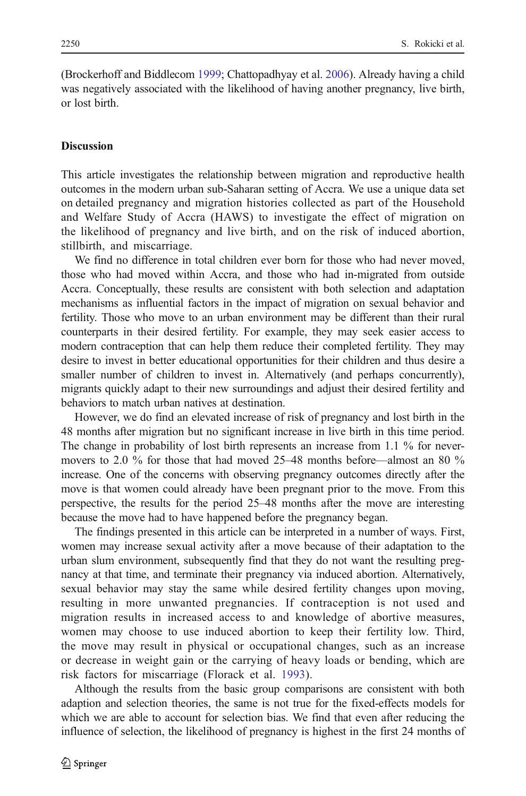(Brockerhoff and Biddlecom [1999;](#page-24-0) Chattopadhyay et al. [2006\)](#page-24-0). Already having a child was negatively associated with the likelihood of having another pregnancy, live birth, or lost birth.

### **Discussion**

This article investigates the relationship between migration and reproductive health outcomes in the modern urban sub-Saharan setting of Accra. We use a unique data set on detailed pregnancy and migration histories collected as part of the Household and Welfare Study of Accra (HAWS) to investigate the effect of migration on the likelihood of pregnancy and live birth, and on the risk of induced abortion, stillbirth, and miscarriage.

We find no difference in total children ever born for those who had never moved, those who had moved within Accra, and those who had in-migrated from outside Accra. Conceptually, these results are consistent with both selection and adaptation mechanisms as influential factors in the impact of migration on sexual behavior and fertility. Those who move to an urban environment may be different than their rural counterparts in their desired fertility. For example, they may seek easier access to modern contraception that can help them reduce their completed fertility. They may desire to invest in better educational opportunities for their children and thus desire a smaller number of children to invest in. Alternatively (and perhaps concurrently), migrants quickly adapt to their new surroundings and adjust their desired fertility and behaviors to match urban natives at destination.

However, we do find an elevated increase of risk of pregnancy and lost birth in the 48 months after migration but no significant increase in live birth in this time period. The change in probability of lost birth represents an increase from 1.1 % for nevermovers to 2.0 % for those that had moved 25–48 months before—almost an 80 % increase. One of the concerns with observing pregnancy outcomes directly after the move is that women could already have been pregnant prior to the move. From this perspective, the results for the period 25–48 months after the move are interesting because the move had to have happened before the pregnancy began.

The findings presented in this article can be interpreted in a number of ways. First, women may increase sexual activity after a move because of their adaptation to the urban slum environment, subsequently find that they do not want the resulting pregnancy at that time, and terminate their pregnancy via induced abortion. Alternatively, sexual behavior may stay the same while desired fertility changes upon moving, resulting in more unwanted pregnancies. If contraception is not used and migration results in increased access to and knowledge of abortive measures, women may choose to use induced abortion to keep their fertility low. Third, the move may result in physical or occupational changes, such as an increase or decrease in weight gain or the carrying of heavy loads or bending, which are risk factors for miscarriage (Florack et al. [1993](#page-24-0)).

Although the results from the basic group comparisons are consistent with both adaption and selection theories, the same is not true for the fixed-effects models for which we are able to account for selection bias. We find that even after reducing the influence of selection, the likelihood of pregnancy is highest in the first 24 months of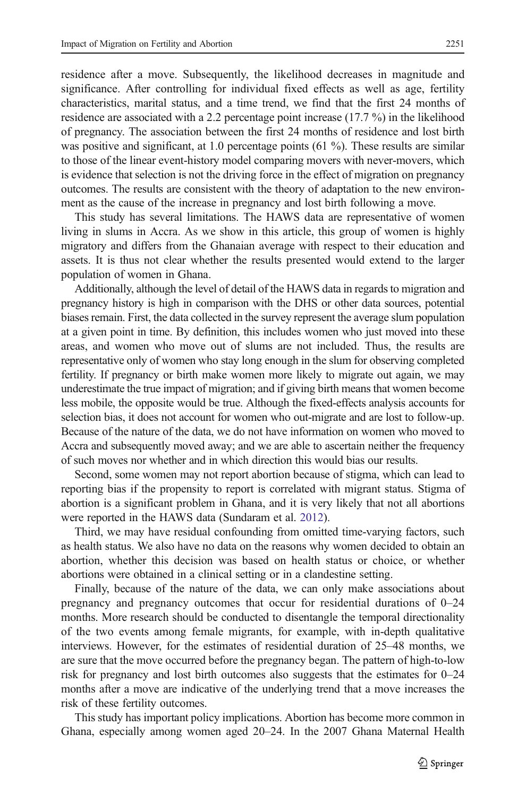residence after a move. Subsequently, the likelihood decreases in magnitude and significance. After controlling for individual fixed effects as well as age, fertility characteristics, marital status, and a time trend, we find that the first 24 months of residence are associated with a 2.2 percentage point increase (17.7 %) in the likelihood of pregnancy. The association between the first 24 months of residence and lost birth was positive and significant, at 1.0 percentage points (61 %). These results are similar to those of the linear event-history model comparing movers with never-movers, which is evidence that selection is not the driving force in the effect of migration on pregnancy outcomes. The results are consistent with the theory of adaptation to the new environment as the cause of the increase in pregnancy and lost birth following a move.

This study has several limitations. The HAWS data are representative of women living in slums in Accra. As we show in this article, this group of women is highly migratory and differs from the Ghanaian average with respect to their education and assets. It is thus not clear whether the results presented would extend to the larger population of women in Ghana.

Additionally, although the level of detail of the HAWS data in regards to migration and pregnancy history is high in comparison with the DHS or other data sources, potential biases remain. First, the data collected in the survey represent the average slum population at a given point in time. By definition, this includes women who just moved into these areas, and women who move out of slums are not included. Thus, the results are representative only of women who stay long enough in the slum for observing completed fertility. If pregnancy or birth make women more likely to migrate out again, we may underestimate the true impact of migration; and if giving birth means that women become less mobile, the opposite would be true. Although the fixed-effects analysis accounts for selection bias, it does not account for women who out-migrate and are lost to follow-up. Because of the nature of the data, we do not have information on women who moved to Accra and subsequently moved away; and we are able to ascertain neither the frequency of such moves nor whether and in which direction this would bias our results.

Second, some women may not report abortion because of stigma, which can lead to reporting bias if the propensity to report is correlated with migrant status. Stigma of abortion is a significant problem in Ghana, and it is very likely that not all abortions were reported in the HAWS data (Sundaram et al. [2012](#page-25-0)).

Third, we may have residual confounding from omitted time-varying factors, such as health status. We also have no data on the reasons why women decided to obtain an abortion, whether this decision was based on health status or choice, or whether abortions were obtained in a clinical setting or in a clandestine setting.

Finally, because of the nature of the data, we can only make associations about pregnancy and pregnancy outcomes that occur for residential durations of 0–24 months. More research should be conducted to disentangle the temporal directionality of the two events among female migrants, for example, with in-depth qualitative interviews. However, for the estimates of residential duration of 25–48 months, we are sure that the move occurred before the pregnancy began. The pattern of high-to-low risk for pregnancy and lost birth outcomes also suggests that the estimates for 0–24 months after a move are indicative of the underlying trend that a move increases the risk of these fertility outcomes.

This study has important policy implications. Abortion has become more common in Ghana, especially among women aged 20–24. In the 2007 Ghana Maternal Health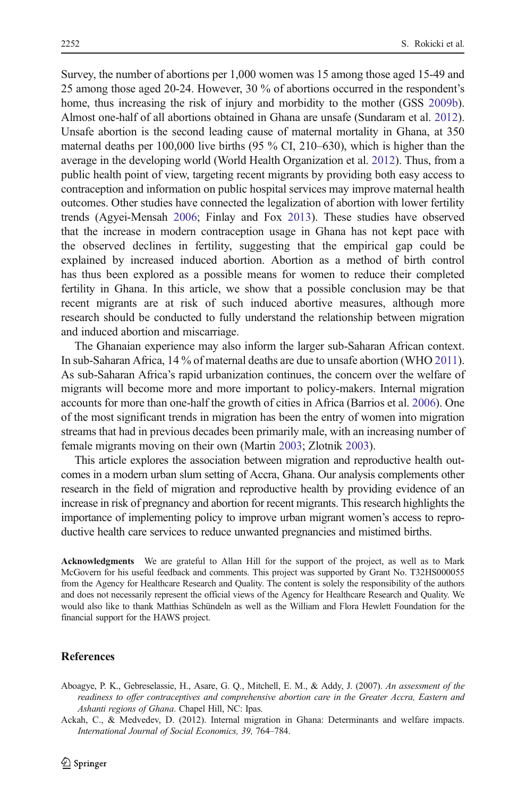<span id="page-23-0"></span>Survey, the number of abortions per 1,000 women was 15 among those aged 15-49 and 25 among those aged 20-24. However, 30 % of abortions occurred in the respondent's home, thus increasing the risk of injury and morbidity to the mother (GSS [2009b\)](#page-24-0). Almost one-half of all abortions obtained in Ghana are unsafe (Sundaram et al. [2012\)](#page-25-0). Unsafe abortion is the second leading cause of maternal mortality in Ghana, at 350 maternal deaths per 100,000 live births (95 % CI, 210–630), which is higher than the average in the developing world (World Health Organization et al. [2012](#page-25-0)). Thus, from a public health point of view, targeting recent migrants by providing both easy access to contraception and information on public hospital services may improve maternal health outcomes. Other studies have connected the legalization of abortion with lower fertility trends (Agyei-Mensah [2006;](#page-24-0) Finlay and Fox [2013](#page-24-0)). These studies have observed that the increase in modern contraception usage in Ghana has not kept pace with the observed declines in fertility, suggesting that the empirical gap could be explained by increased induced abortion. Abortion as a method of birth control has thus been explored as a possible means for women to reduce their completed fertility in Ghana. In this article, we show that a possible conclusion may be that recent migrants are at risk of such induced abortive measures, although more research should be conducted to fully understand the relationship between migration and induced abortion and miscarriage.

The Ghanaian experience may also inform the larger sub-Saharan African context. In sub-Saharan Africa, 14 % of maternal deaths are due to unsafe abortion (WHO [2011\)](#page-25-0). As sub-Saharan Africa's rapid urbanization continues, the concern over the welfare of migrants will become more and more important to policy-makers. Internal migration accounts for more than one-half the growth of cities in Africa (Barrios et al. [2006](#page-24-0)). One of the most significant trends in migration has been the entry of women into migration streams that had in previous decades been primarily male, with an increasing number of female migrants moving on their own (Martin [2003;](#page-24-0) Zlotnik [2003](#page-25-0)).

This article explores the association between migration and reproductive health outcomes in a modern urban slum setting of Accra, Ghana. Our analysis complements other research in the field of migration and reproductive health by providing evidence of an increase in risk of pregnancy and abortion for recent migrants. This research highlights the importance of implementing policy to improve urban migrant women's access to reproductive health care services to reduce unwanted pregnancies and mistimed births.

Acknowledgments We are grateful to Allan Hill for the support of the project, as well as to Mark McGovern for his useful feedback and comments. This project was supported by Grant No. T32HS000055 from the Agency for Healthcare Research and Quality. The content is solely the responsibility of the authors and does not necessarily represent the official views of the Agency for Healthcare Research and Quality. We would also like to thank Matthias Schündeln as well as the William and Flora Hewlett Foundation for the financial support for the HAWS project.

### References

- Aboagye, P. K., Gebreselassie, H., Asare, G. Q., Mitchell, E. M., & Addy, J. (2007). An assessment of the readiness to offer contraceptives and comprehensive abortion care in the Greater Accra, Eastern and Ashanti regions of Ghana. Chapel Hill, NC: Ipas.
- Ackah, C., & Medvedev, D. (2012). Internal migration in Ghana: Determinants and welfare impacts. International Journal of Social Economics, 39, 764–784.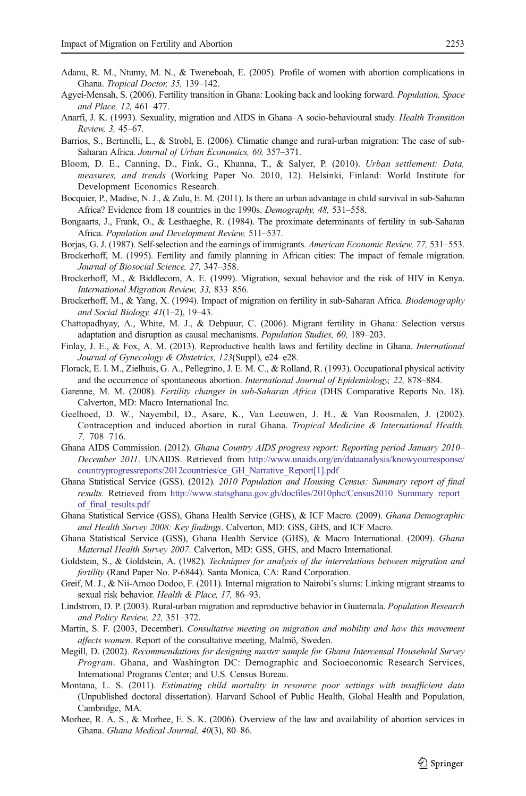- <span id="page-24-0"></span>Adanu, R. M., Ntumy, M. N., & Tweneboah, E. (2005). Profile of women with abortion complications in Ghana. Tropical Doctor, 35, 139–142.
- Agyei-Mensah, S. (2006). Fertility transition in Ghana: Looking back and looking forward. Population, Space and Place, 12, 461–477.
- Anarfi, J. K. (1993). Sexuality, migration and AIDS in Ghana–A socio-behavioural study. Health Transition Review, 3, 45–67.
- Barrios, S., Bertinelli, L., & Strobl, E. (2006). Climatic change and rural-urban migration: The case of sub-Saharan Africa. Journal of Urban Economics, 60, 357–371.
- Bloom, D. E., Canning, D., Fink, G., Khanna, T., & Salyer, P. (2010). Urban settlement: Data, measures, and trends (Working Paper No. 2010, 12). Helsinki, Finland: World Institute for Development Economics Research.
- Bocquier, P., Madise, N. J., & Zulu, E. M. (2011). Is there an urban advantage in child survival in sub-Saharan Africa? Evidence from 18 countries in the 1990s. Demography, 48, 531–558.
- Bongaarts, J., Frank, O., & Lesthaeghe, R. (1984). The proximate determinants of fertility in sub-Saharan Africa. Population and Development Review, 511–537.
- Borjas, G. J. (1987). Self-selection and the earnings of immigrants. American Economic Review, 77, 531–553.
- Brockerhoff, M. (1995). Fertility and family planning in African cities: The impact of female migration. Journal of Biosocial Science, 27, 347–358.
- Brockerhoff, M., & Biddlecom, A. E. (1999). Migration, sexual behavior and the risk of HIV in Kenya. International Migration Review, 33, 833–856.
- Brockerhoff, M., & Yang, X. (1994). Impact of migration on fertility in sub-Saharan Africa. Biodemography and Social Biology, 41(1–2), 19–43.
- Chattopadhyay, A., White, M. J., & Debpuur, C. (2006). Migrant fertility in Ghana: Selection versus adaptation and disruption as causal mechanisms. Population Studies, 60, 189–203.
- Finlay, J. E., & Fox, A. M. (2013). Reproductive health laws and fertility decline in Ghana. *International* Journal of Gynecology & Obstetrics, 123(Suppl), e24–e28.
- Florack, E. I. M., Zielhuis, G. A., Pellegrino, J. E. M. C., & Rolland, R. (1993). Occupational physical activity and the occurrence of spontaneous abortion. International Journal of Epidemiology, 22, 878–884.
- Garenne, M. M. (2008). Fertility changes in sub-Saharan Africa (DHS Comparative Reports No. 18). Calverton, MD: Macro International Inc.
- Geelhoed, D. W., Nayembil, D., Asare, K., Van Leeuwen, J. H., & Van Roosmalen, J. (2002). Contraception and induced abortion in rural Ghana. Tropical Medicine & International Health, 7, 708–716.
- Ghana AIDS Commission. (2012). Ghana Country AIDS progress report: Reporting period January 2010– December 2011. UNAIDS. Retrieved from [http://www.unaids.org/en/dataanalysis/knowyourresponse/](http://www.unaids.org/en/dataanalysis/knowyourresponse/countryprogressreports/2012countries/ce_GH_Narrative_Report%5B1%5D.pdf) [countryprogressreports/2012countries/ce\\_GH\\_Narrative\\_Report\[1\].pdf](http://www.unaids.org/en/dataanalysis/knowyourresponse/countryprogressreports/2012countries/ce_GH_Narrative_Report%5B1%5D.pdf)
- Ghana Statistical Service (GSS). (2012). 2010 Population and Housing Census: Summary report of final results. Retrieved from http://www.statsghana.gov.gh/docfiles/2010phc/Census2010\_Summary\_report [of\\_final\\_results.pdf](http://www.statsghana.gov.gh/docfiles/2010phc/Census2010_Summary_report_of_final_results.pdf)
- Ghana Statistical Service (GSS), Ghana Health Service (GHS), & ICF Macro. (2009). Ghana Demographic and Health Survey 2008: Key findings. Calverton, MD: GSS, GHS, and ICF Macro.
- Ghana Statistical Service (GSS), Ghana Health Service (GHS), & Macro International. (2009). Ghana Maternal Health Survey 2007. Calverton, MD: GSS, GHS, and Macro International.
- Goldstein, S., & Goldstein, A. (1982). Techniques for analysis of the interrelations between migration and fertility (Rand Paper No. P-6844). Santa Monica, CA: Rand Corporation.
- Greif, M. J., & Nii-Amoo Dodoo, F. (2011). Internal migration to Nairobi's slums: Linking migrant streams to sexual risk behavior. Health & Place, 17, 86–93.
- Lindstrom, D. P. (2003). Rural-urban migration and reproductive behavior in Guatemala. *Population Research* and Policy Review, 22, 351–372.
- Martin, S. F. (2003, December). Consultative meeting on migration and mobility and how this movement affects women. Report of the consultative meeting, Malmö, Sweden.
- Megill, D. (2002). Recommendations for designing master sample for Ghana Intercensal Household Survey Program. Ghana, and Washington DC: Demographic and Socioeconomic Research Services, International Programs Center; and U.S. Census Bureau.
- Montana, L. S. (2011). Estimating child mortality in resource poor settings with insufficient data (Unpublished doctoral dissertation). Harvard School of Public Health, Global Health and Population, Cambridge, MA.
- Morhee, R. A. S., & Morhee, E. S. K. (2006). Overview of the law and availability of abortion services in Ghana. Ghana Medical Journal, 40(3), 80–86.